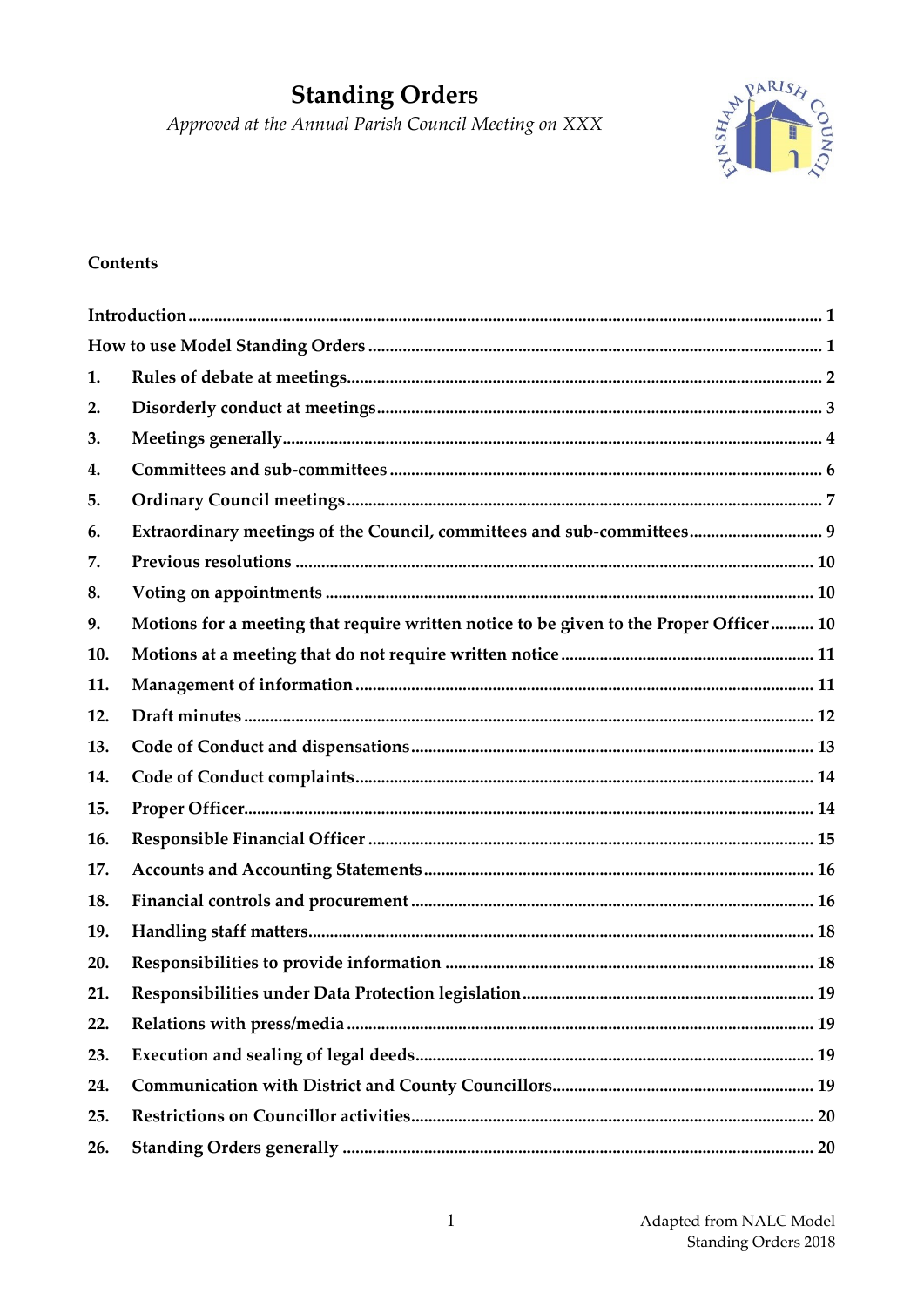# **Standing Orders**

Approved at the Annual Parish Council Meeting on XXX



## **Contents**

| 1.  |                                                                                        |
|-----|----------------------------------------------------------------------------------------|
| 2.  |                                                                                        |
| 3.  |                                                                                        |
| 4.  |                                                                                        |
| 5.  |                                                                                        |
| 6.  | Extraordinary meetings of the Council, committees and sub-committees 9                 |
| 7.  |                                                                                        |
| 8.  |                                                                                        |
| 9.  | Motions for a meeting that require written notice to be given to the Proper Officer 10 |
| 10. |                                                                                        |
| 11. |                                                                                        |
| 12. |                                                                                        |
| 13. |                                                                                        |
| 14. |                                                                                        |
| 15. |                                                                                        |
| 16. |                                                                                        |
| 17. |                                                                                        |
| 18. |                                                                                        |
| 19. |                                                                                        |
| 20. |                                                                                        |
| 21. |                                                                                        |
| 22. |                                                                                        |
| 23. |                                                                                        |
| 24. |                                                                                        |
| 25. |                                                                                        |
| 26. |                                                                                        |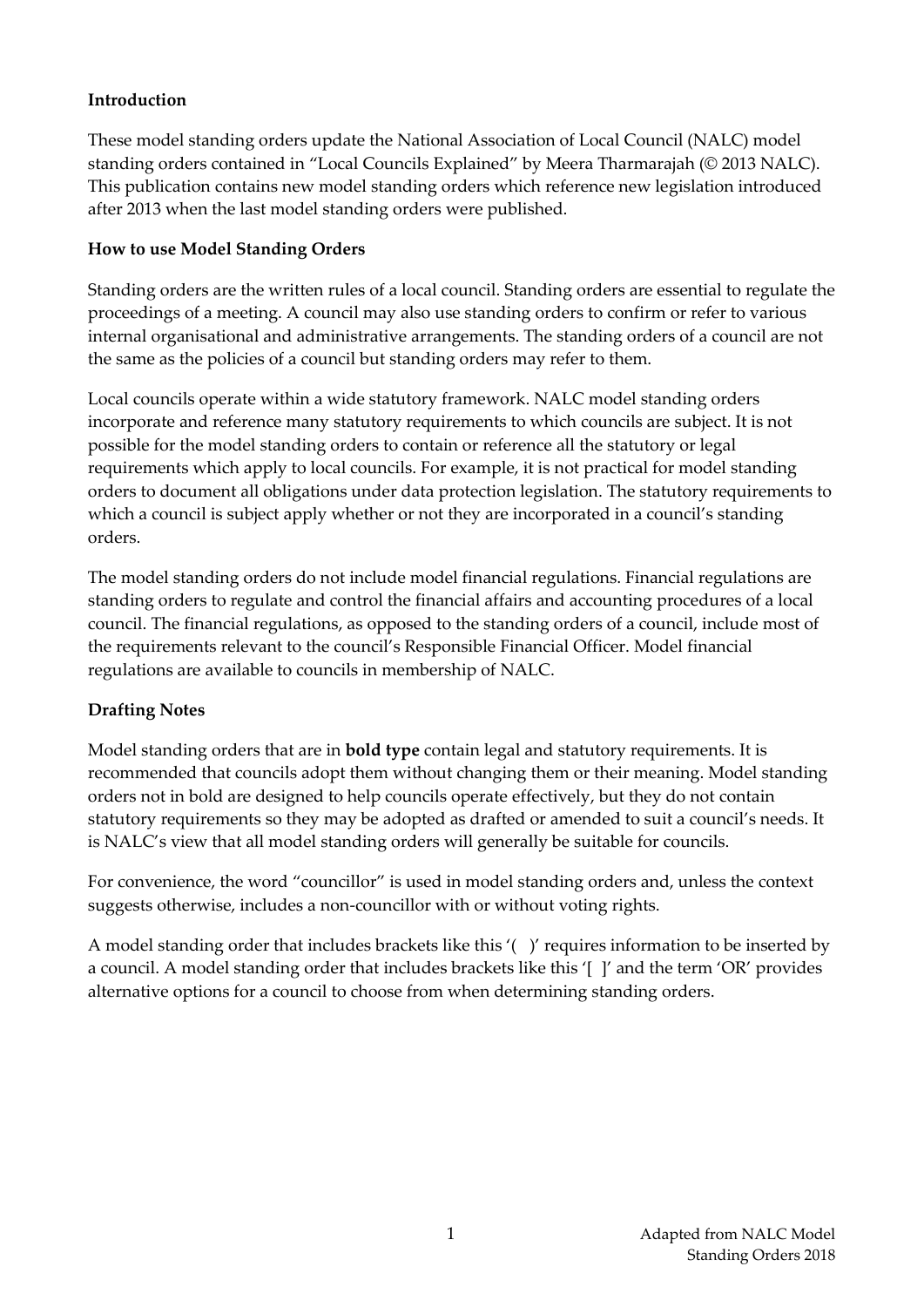## <span id="page-1-0"></span>**Introduction**

These model standing orders update the National Association of Local Council (NALC) model standing orders contained in "Local Councils Explained" by Meera Tharmarajah (© 2013 NALC). This publication contains new model standing orders which reference new legislation introduced after 2013 when the last model standing orders were published.

## <span id="page-1-1"></span>**How to use Model Standing Orders**

Standing orders are the written rules of a local council. Standing orders are essential to regulate the proceedings of a meeting. A council may also use standing orders to confirm or refer to various internal organisational and administrative arrangements. The standing orders of a council are not the same as the policies of a council but standing orders may refer to them.

Local councils operate within a wide statutory framework. NALC model standing orders incorporate and reference many statutory requirements to which councils are subject. It is not possible for the model standing orders to contain or reference all the statutory or legal requirements which apply to local councils. For example, it is not practical for model standing orders to document all obligations under data protection legislation. The statutory requirements to which a council is subject apply whether or not they are incorporated in a council's standing orders.

The model standing orders do not include model financial regulations. Financial regulations are standing orders to regulate and control the financial affairs and accounting procedures of a local council. The financial regulations, as opposed to the standing orders of a council, include most of the requirements relevant to the council's Responsible Financial Officer. Model financial regulations are available to councils in membership of NALC.

# **Drafting Notes**

Model standing orders that are in **bold type** contain legal and statutory requirements. It is recommended that councils adopt them without changing them or their meaning. Model standing orders not in bold are designed to help councils operate effectively, but they do not contain statutory requirements so they may be adopted as drafted or amended to suit a council's needs. It is NALC's view that all model standing orders will generally be suitable for councils.

For convenience, the word "councillor" is used in model standing orders and, unless the context suggests otherwise, includes a non-councillor with or without voting rights.

A model standing order that includes brackets like this '( )' requires information to be inserted by a council. A model standing order that includes brackets like this '[ ]' and the term 'OR' provides alternative options for a council to choose from when determining standing orders.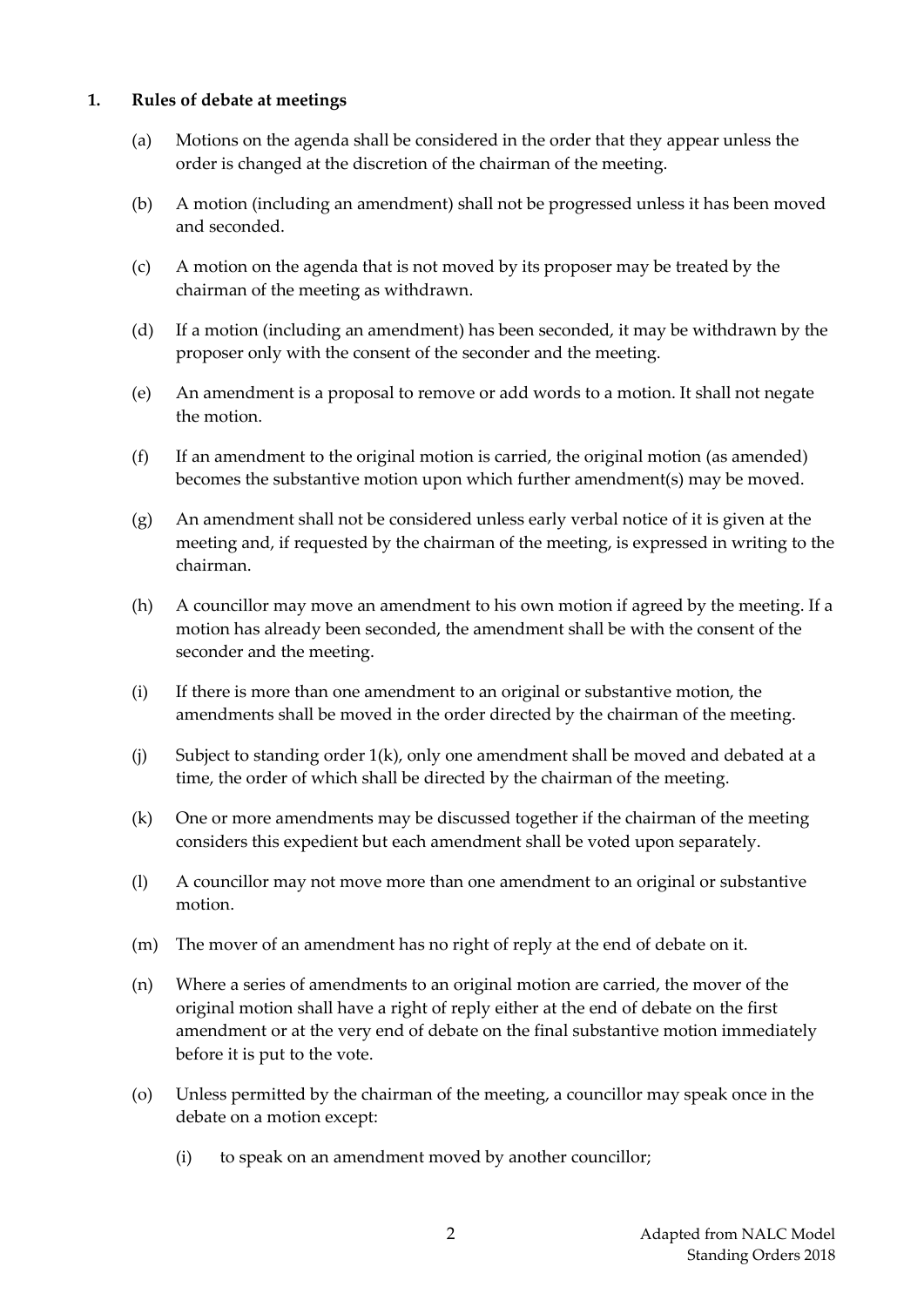#### <span id="page-2-0"></span>**1. Rules of debate at meetings**

- (a) Motions on the agenda shall be considered in the order that they appear unless the order is changed at the discretion of the chairman of the meeting.
- (b) A motion (including an amendment) shall not be progressed unless it has been moved and seconded.
- (c) A motion on the agenda that is not moved by its proposer may be treated by the chairman of the meeting as withdrawn.
- (d) If a motion (including an amendment) has been seconded, it may be withdrawn by the proposer only with the consent of the seconder and the meeting.
- (e) An amendment is a proposal to remove or add words to a motion. It shall not negate the motion.
- (f) If an amendment to the original motion is carried, the original motion (as amended) becomes the substantive motion upon which further amendment(s) may be moved.
- (g) An amendment shall not be considered unless early verbal notice of it is given at the meeting and, if requested by the chairman of the meeting, is expressed in writing to the chairman.
- (h) A councillor may move an amendment to his own motion if agreed by the meeting. If a motion has already been seconded, the amendment shall be with the consent of the seconder and the meeting.
- (i) If there is more than one amendment to an original or substantive motion, the amendments shall be moved in the order directed by the chairman of the meeting.
- (j) Subject to standing order 1(k), only one amendment shall be moved and debated at a time, the order of which shall be directed by the chairman of the meeting.
- (k) One or more amendments may be discussed together if the chairman of the meeting considers this expedient but each amendment shall be voted upon separately.
- (l) A councillor may not move more than one amendment to an original or substantive motion.
- (m) The mover of an amendment has no right of reply at the end of debate on it.
- (n) Where a series of amendments to an original motion are carried, the mover of the original motion shall have a right of reply either at the end of debate on the first amendment or at the very end of debate on the final substantive motion immediately before it is put to the vote.
- (o) Unless permitted by the chairman of the meeting, a councillor may speak once in the debate on a motion except:
	- (i) to speak on an amendment moved by another councillor;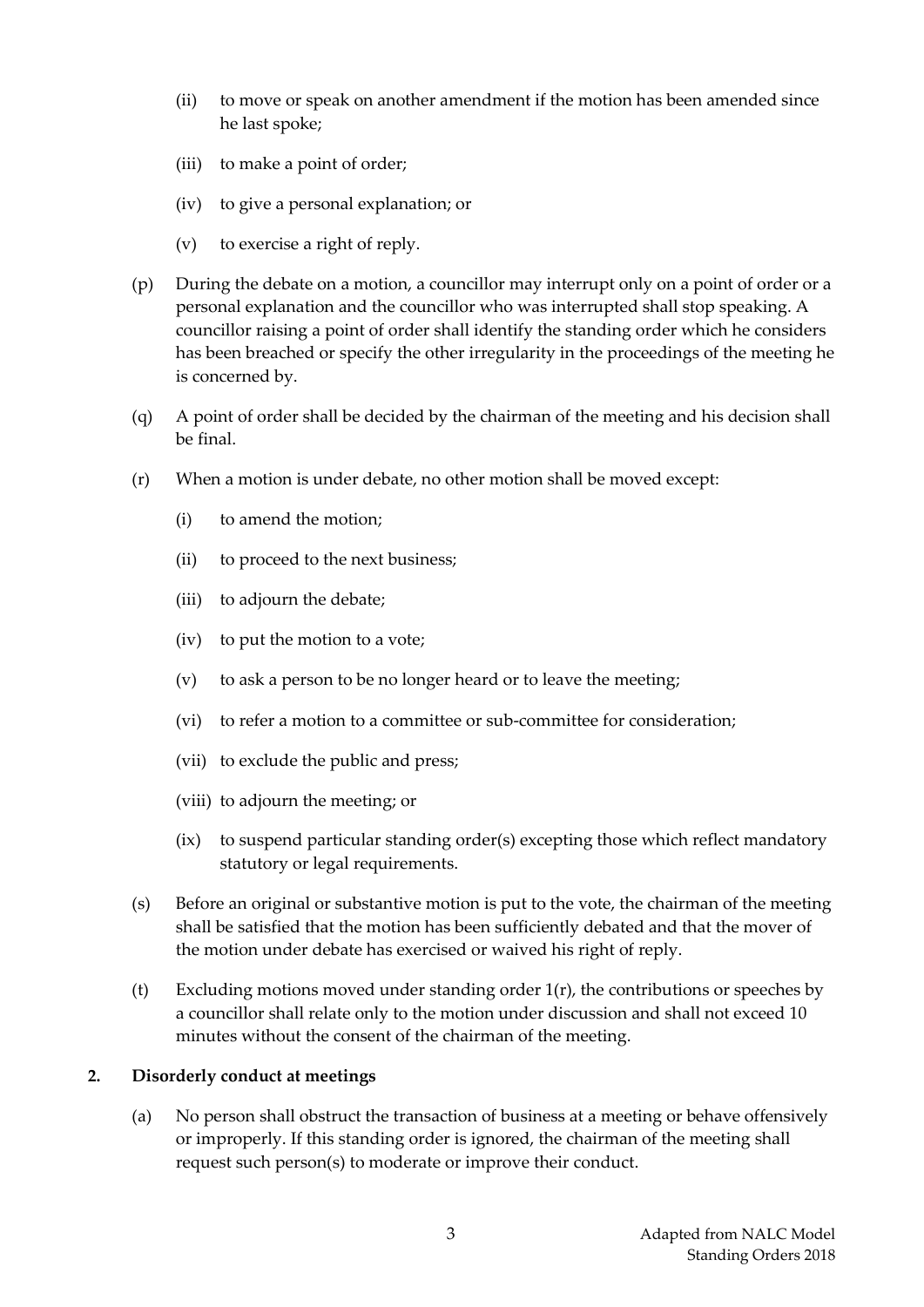- (ii) to move or speak on another amendment if the motion has been amended since he last spoke;
- (iii) to make a point of order;
- (iv) to give a personal explanation; or
- (v) to exercise a right of reply.
- (p) During the debate on a motion, a councillor may interrupt only on a point of order or a personal explanation and the councillor who was interrupted shall stop speaking. A councillor raising a point of order shall identify the standing order which he considers has been breached or specify the other irregularity in the proceedings of the meeting he is concerned by.
- (q) A point of order shall be decided by the chairman of the meeting and his decision shall be final.
- (r) When a motion is under debate, no other motion shall be moved except:
	- (i) to amend the motion;
	- (ii) to proceed to the next business;
	- (iii) to adjourn the debate;
	- (iv) to put the motion to a vote;
	- (v) to ask a person to be no longer heard or to leave the meeting;
	- (vi) to refer a motion to a committee or sub-committee for consideration;
	- (vii) to exclude the public and press;
	- (viii) to adjourn the meeting; or
	- (ix) to suspend particular standing order(s) excepting those which reflect mandatory statutory or legal requirements.
- (s) Before an original or substantive motion is put to the vote, the chairman of the meeting shall be satisfied that the motion has been sufficiently debated and that the mover of the motion under debate has exercised or waived his right of reply.
- (t) Excluding motions moved under standing order 1(r), the contributions or speeches by a councillor shall relate only to the motion under discussion and shall not exceed 10 minutes without the consent of the chairman of the meeting.

#### <span id="page-3-0"></span>**2. Disorderly conduct at meetings**

(a) No person shall obstruct the transaction of business at a meeting or behave offensively or improperly. If this standing order is ignored, the chairman of the meeting shall request such person(s) to moderate or improve their conduct.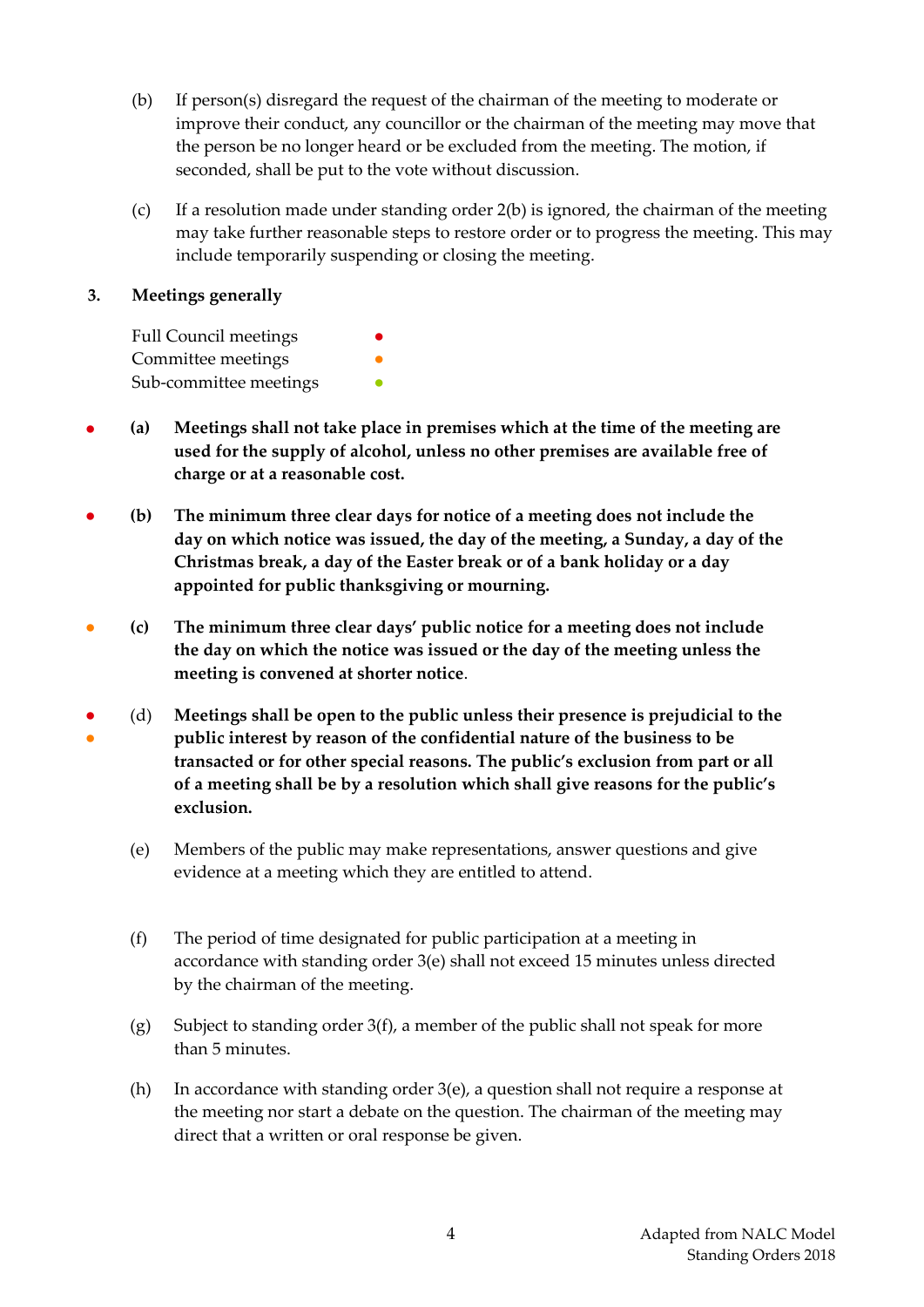- (b) If person(s) disregard the request of the chairman of the meeting to moderate or improve their conduct, any councillor or the chairman of the meeting may move that the person be no longer heard or be excluded from the meeting. The motion, if seconded, shall be put to the vote without discussion.
- (c) If a resolution made under standing order 2(b) is ignored, the chairman of the meeting may take further reasonable steps to restore order or to progress the meeting. This may include temporarily suspending or closing the meeting.

#### <span id="page-4-0"></span>**3. Meetings generally**

| <b>Full Council meetings</b> | $\bullet$ |
|------------------------------|-----------|
| Committee meetings           |           |
| Sub-committee meetings       |           |

- **(a) Meetings shall not take place in premises which at the time of the meeting are used for the supply of alcohol, unless no other premises are available free of charge or at a reasonable cost.**
- **(b) The minimum three clear days for notice of a meeting does not include the day on which notice was issued, the day of the meeting, a Sunday, a day of the Christmas break, a day of the Easter break or of a bank holiday or a day appointed for public thanksgiving or mourning.**
- **(c) The minimum three clear days' public notice for a meeting does not include the day on which the notice was issued or the day of the meeting unless the meeting is convened at shorter notice**.
- ● (d) **Meetings shall be open to the public unless their presence is prejudicial to the public interest by reason of the confidential nature of the business to be transacted or for other special reasons. The public's exclusion from part or all of a meeting shall be by a resolution which shall give reasons for the public's exclusion.**
	- (e) Members of the public may make representations, answer questions and give evidence at a meeting which they are entitled to attend.
	- (f) The period of time designated for public participation at a meeting in accordance with standing order 3(e) shall not exceed 15 minutes unless directed by the chairman of the meeting.
	- (g) Subject to standing order 3(f), a member of the public shall not speak for more than 5 minutes.
	- (h) In accordance with standing order 3(e), a question shall not require a response at the meeting nor start a debate on the question. The chairman of the meeting may direct that a written or oral response be given.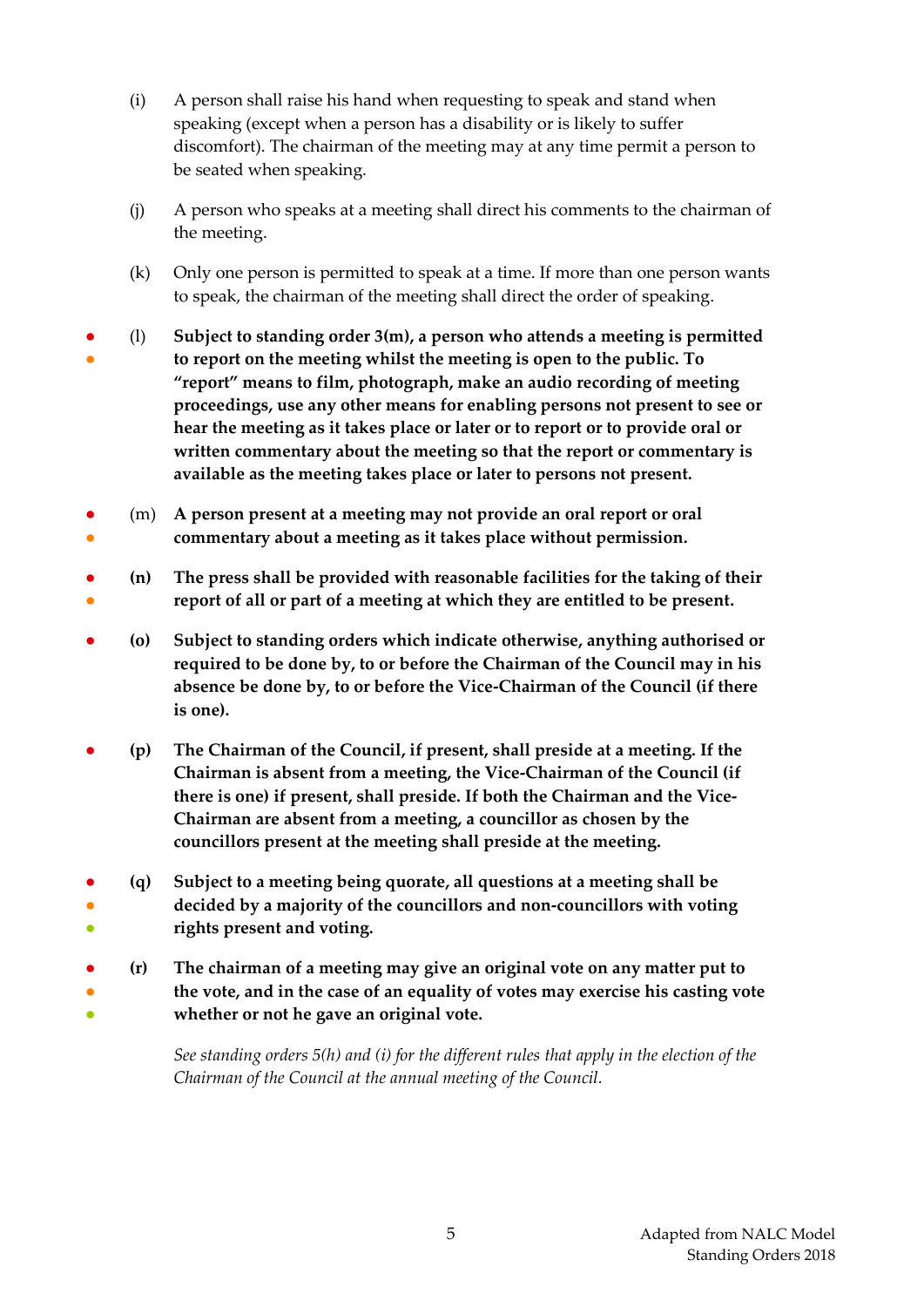- (i) A person shall raise his hand when requesting to speak and stand when speaking (except when a person has a disability or is likely to suffer discomfort). The chairman of the meeting may at any time permit a person to be seated when speaking.
- (j) A person who speaks at a meeting shall direct his comments to the chairman of the meeting.
- (k) Only one person is permitted to speak at a time. If more than one person wants to speak, the chairman of the meeting shall direct the order of speaking.
- ● (l) **Subject to standing order 3(m), a person who attends a meeting is permitted to report on the meeting whilst the meeting is open to the public. To "report" means to film, photograph, make an audio recording of meeting proceedings, use any other means for enabling persons not present to see or hear the meeting as it takes place or later or to report or to provide oral or written commentary about the meeting so that the report or commentary is available as the meeting takes place or later to persons not present.**
- ● (m) **A person present at a meeting may not provide an oral report or oral commentary about a meeting as it takes place without permission.**
- ● **(n) The press shall be provided with reasonable facilities for the taking of their report of all or part of a meeting at which they are entitled to be present.**
- **(o) Subject to standing orders which indicate otherwise, anything authorised or required to be done by, to or before the Chairman of the Council may in his absence be done by, to or before the Vice-Chairman of the Council (if there is one).**
- **(p) The Chairman of the Council, if present, shall preside at a meeting. If the Chairman is absent from a meeting, the Vice-Chairman of the Council (if there is one) if present, shall preside. If both the Chairman and the Vice-Chairman are absent from a meeting, a councillor as chosen by the councillors present at the meeting shall preside at the meeting.**
- ● ● **(q) Subject to a meeting being quorate, all questions at a meeting shall be decided by a majority of the councillors and non-councillors with voting rights present and voting.**
- ● ● **(r) The chairman of a meeting may give an original vote on any matter put to the vote, and in the case of an equality of votes may exercise his casting vote whether or not he gave an original vote.**

*See standing orders 5(h) and (i) for the different rules that apply in the election of the Chairman of the Council at the annual meeting of the Council.*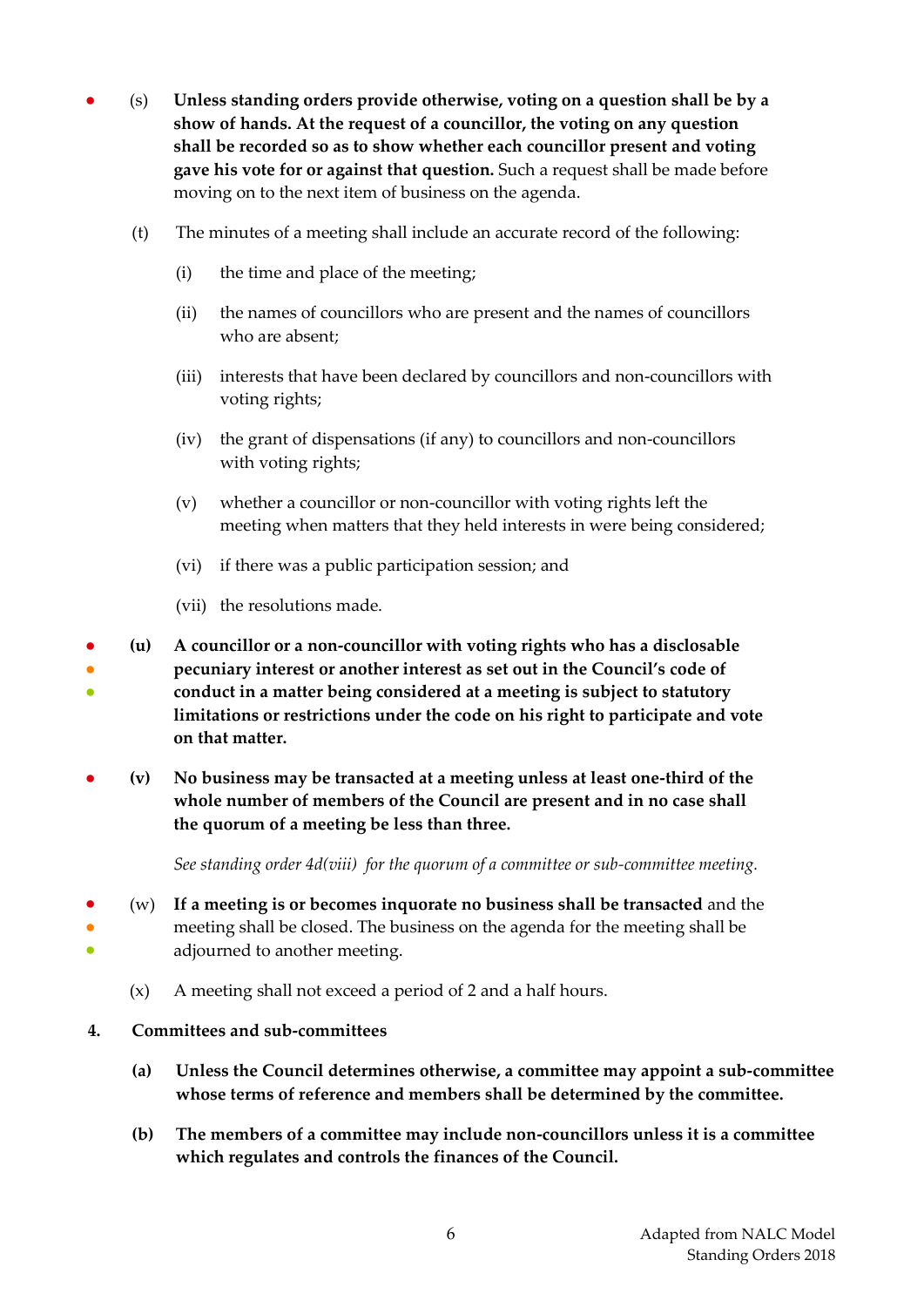- (s) **Unless standing orders provide otherwise, voting on a question shall be by a show of hands. At the request of a councillor, the voting on any question shall be recorded so as to show whether each councillor present and voting gave his vote for or against that question.** Such a request shall be made before moving on to the next item of business on the agenda.
	- (t) The minutes of a meeting shall include an accurate record of the following:
		- (i) the time and place of the meeting;
		- (ii) the names of councillors who are present and the names of councillors who are absent;
		- (iii) interests that have been declared by councillors and non-councillors with voting rights;
		- (iv) the grant of dispensations (if any) to councillors and non-councillors with voting rights;
		- (v) whether a councillor or non-councillor with voting rights left the meeting when matters that they held interests in were being considered;
		- (vi) if there was a public participation session; and
		- (vii) the resolutions made.
- ● ● **(u) A councillor or a non-councillor with voting rights who has a disclosable pecuniary interest or another interest as set out in the Council's code of conduct in a matter being considered at a meeting is subject to statutory limitations or restrictions under the code on his right to participate and vote on that matter.**
- **(v) No business may be transacted at a meeting unless at least one-third of the whole number of members of the Council are present and in no case shall the quorum of a meeting be less than three.**

*See standing order 4d(viii) for the quorum of a committee or sub-committee meeting.* 

- ● ● (w) **If a meeting is or becomes inquorate no business shall be transacted** and the meeting shall be closed. The business on the agenda for the meeting shall be adjourned to another meeting.
	- (x) A meeting shall not exceed a period of 2 and a half hours.
- <span id="page-6-0"></span>**4. Committees and sub-committees**
	- **(a) Unless the Council determines otherwise, a committee may appoint a sub-committee whose terms of reference and members shall be determined by the committee.**
	- **(b) The members of a committee may include non-councillors unless it is a committee which regulates and controls the finances of the Council.**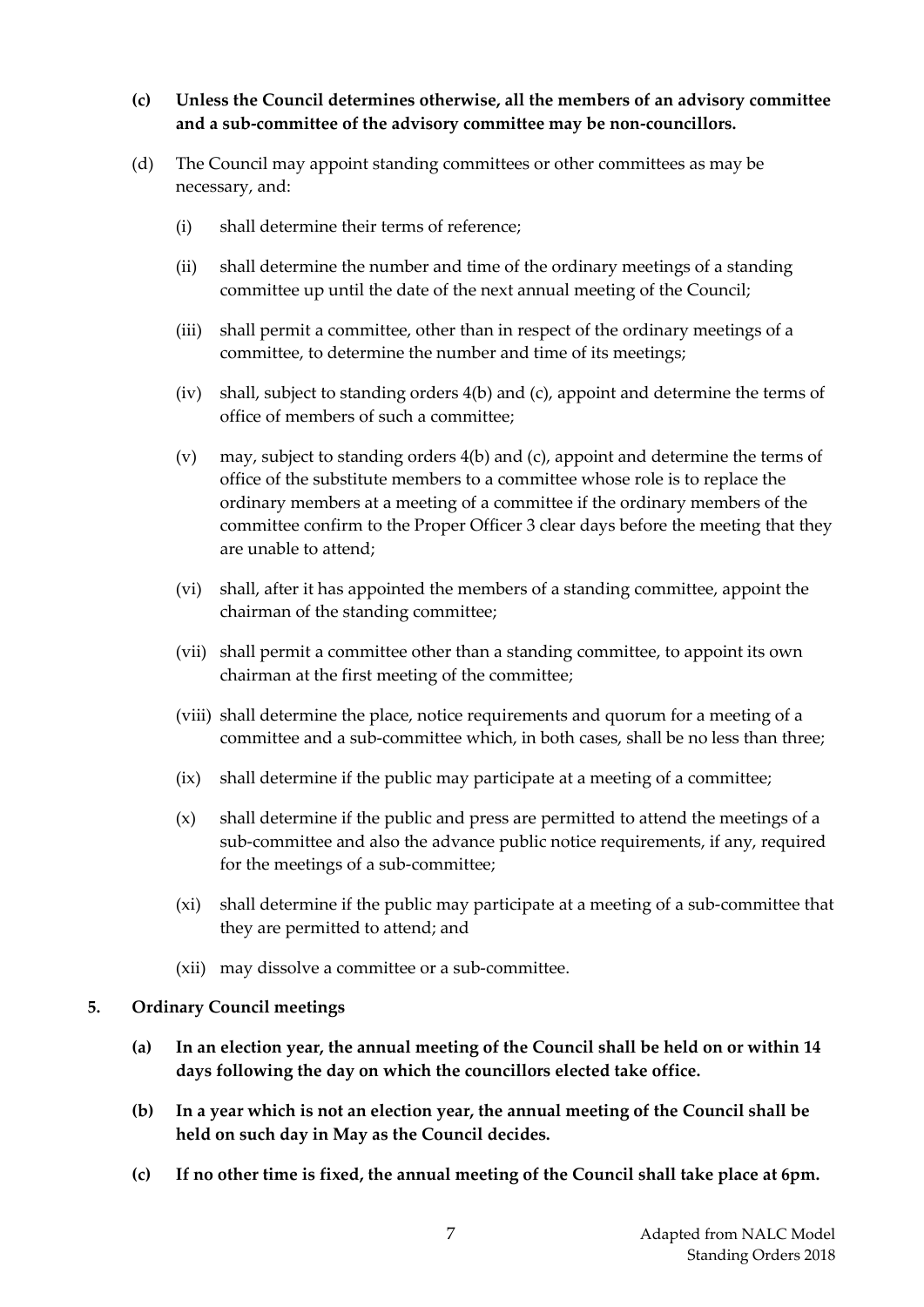## **(c) Unless the Council determines otherwise, all the members of an advisory committee and a sub-committee of the advisory committee may be non-councillors.**

- (d) The Council may appoint standing committees or other committees as may be necessary, and:
	- (i) shall determine their terms of reference;
	- (ii) shall determine the number and time of the ordinary meetings of a standing committee up until the date of the next annual meeting of the Council;
	- (iii) shall permit a committee, other than in respect of the ordinary meetings of a committee, to determine the number and time of its meetings;
	- (iv) shall, subject to standing orders 4(b) and (c), appoint and determine the terms of office of members of such a committee;
	- (v) may, subject to standing orders 4(b) and (c), appoint and determine the terms of office of the substitute members to a committee whose role is to replace the ordinary members at a meeting of a committee if the ordinary members of the committee confirm to the Proper Officer 3 clear days before the meeting that they are unable to attend;
	- (vi) shall, after it has appointed the members of a standing committee, appoint the chairman of the standing committee;
	- (vii) shall permit a committee other than a standing committee, to appoint its own chairman at the first meeting of the committee;
	- (viii) shall determine the place, notice requirements and quorum for a meeting of a committee and a sub-committee which, in both cases, shall be no less than three;
	- (ix) shall determine if the public may participate at a meeting of a committee;
	- (x) shall determine if the public and press are permitted to attend the meetings of a sub-committee and also the advance public notice requirements, if any, required for the meetings of a sub-committee;
	- (xi) shall determine if the public may participate at a meeting of a sub-committee that they are permitted to attend; and
	- (xii) may dissolve a committee or a sub-committee.

#### <span id="page-7-0"></span>**5. Ordinary Council meetings**

- **(a) In an election year, the annual meeting of the Council shall be held on or within 14 days following the day on which the councillors elected take office.**
- **(b) In a year which is not an election year, the annual meeting of the Council shall be held on such day in May as the Council decides.**
- **(c) If no other time is fixed, the annual meeting of the Council shall take place at 6pm.**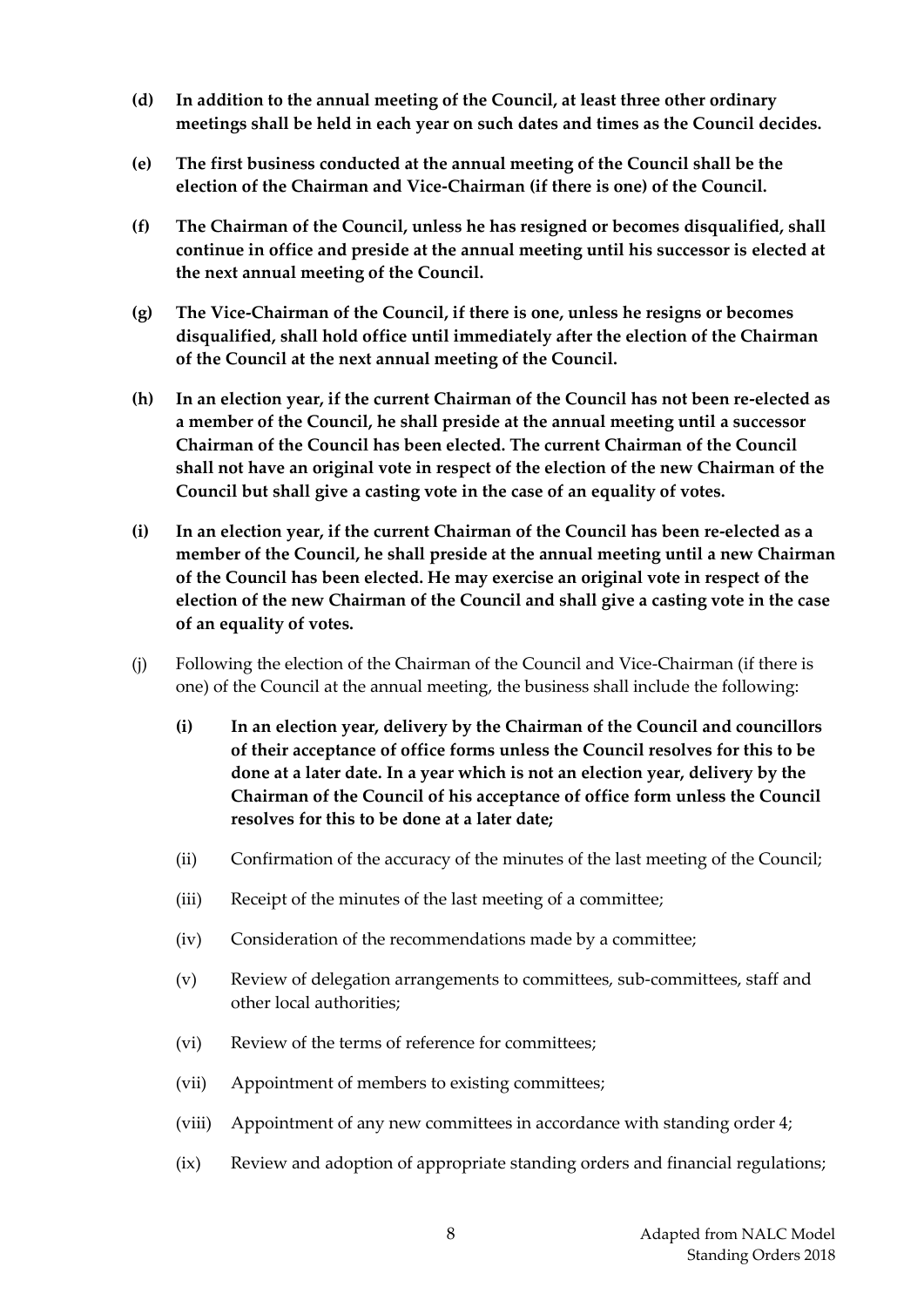- **(d) In addition to the annual meeting of the Council, at least three other ordinary meetings shall be held in each year on such dates and times as the Council decides.**
- **(e) The first business conducted at the annual meeting of the Council shall be the election of the Chairman and Vice-Chairman (if there is one) of the Council.**
- **(f) The Chairman of the Council, unless he has resigned or becomes disqualified, shall continue in office and preside at the annual meeting until his successor is elected at the next annual meeting of the Council.**
- **(g) The Vice-Chairman of the Council, if there is one, unless he resigns or becomes disqualified, shall hold office until immediately after the election of the Chairman of the Council at the next annual meeting of the Council.**
- **(h) In an election year, if the current Chairman of the Council has not been re-elected as a member of the Council, he shall preside at the annual meeting until a successor Chairman of the Council has been elected. The current Chairman of the Council shall not have an original vote in respect of the election of the new Chairman of the Council but shall give a casting vote in the case of an equality of votes.**
- **(i) In an election year, if the current Chairman of the Council has been re-elected as a member of the Council, he shall preside at the annual meeting until a new Chairman of the Council has been elected. He may exercise an original vote in respect of the election of the new Chairman of the Council and shall give a casting vote in the case of an equality of votes.**
- (j) Following the election of the Chairman of the Council and Vice-Chairman (if there is one) of the Council at the annual meeting, the business shall include the following:
	- **(i) In an election year, delivery by the Chairman of the Council and councillors of their acceptance of office forms unless the Council resolves for this to be done at a later date. In a year which is not an election year, delivery by the Chairman of the Council of his acceptance of office form unless the Council resolves for this to be done at a later date;**
	- (ii) Confirmation of the accuracy of the minutes of the last meeting of the Council;
	- (iii) Receipt of the minutes of the last meeting of a committee;
	- (iv) Consideration of the recommendations made by a committee;
	- (v) Review of delegation arrangements to committees, sub-committees, staff and other local authorities;
	- (vi) Review of the terms of reference for committees;
	- (vii) Appointment of members to existing committees;
	- (viii) Appointment of any new committees in accordance with standing order 4;
	- (ix) Review and adoption of appropriate standing orders and financial regulations;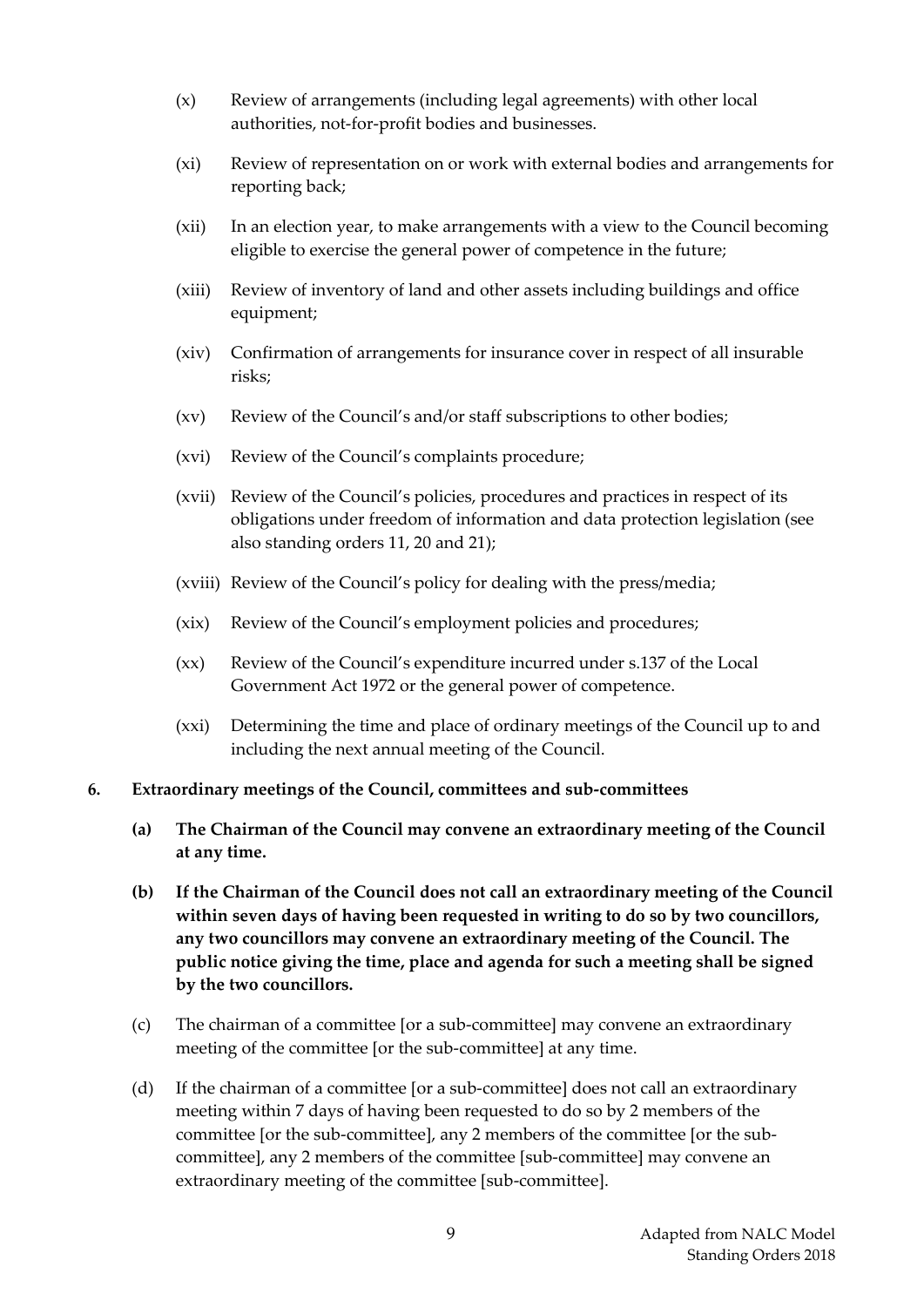- (x) Review of arrangements (including legal agreements) with other local authorities, not-for-profit bodies and businesses.
- (xi) Review of representation on or work with external bodies and arrangements for reporting back;
- (xii) In an election year, to make arrangements with a view to the Council becoming eligible to exercise the general power of competence in the future;
- (xiii) Review of inventory of land and other assets including buildings and office equipment;
- (xiv) Confirmation of arrangements for insurance cover in respect of all insurable risks;
- (xv) Review of the Council's and/or staff subscriptions to other bodies;
- (xvi) Review of the Council's complaints procedure;
- (xvii) Review of the Council's policies, procedures and practices in respect of its obligations under freedom of information and data protection legislation (see also standing orders 11, 20 and 21);
- (xviii) Review of the Council's policy for dealing with the press/media;
- (xix) Review of the Council's employment policies and procedures;
- (xx) Review of the Council's expenditure incurred under s.137 of the Local Government Act 1972 or the general power of competence.
- (xxi) Determining the time and place of ordinary meetings of the Council up to and including the next annual meeting of the Council.

#### <span id="page-9-0"></span>**6. Extraordinary meetings of the Council, committees and sub-committees**

- **(a) The Chairman of the Council may convene an extraordinary meeting of the Council at any time.**
- **(b) If the Chairman of the Council does not call an extraordinary meeting of the Council within seven days of having been requested in writing to do so by two councillors, any two councillors may convene an extraordinary meeting of the Council. The public notice giving the time, place and agenda for such a meeting shall be signed by the two councillors.**
- (c) The chairman of a committee [or a sub-committee] may convene an extraordinary meeting of the committee [or the sub-committee] at any time.
- (d) If the chairman of a committee [or a sub-committee] does not call an extraordinary meeting within 7 days of having been requested to do so by 2 members of the committee [or the sub-committee], any 2 members of the committee [or the subcommittee], any 2 members of the committee [sub-committee] may convene an extraordinary meeting of the committee [sub-committee].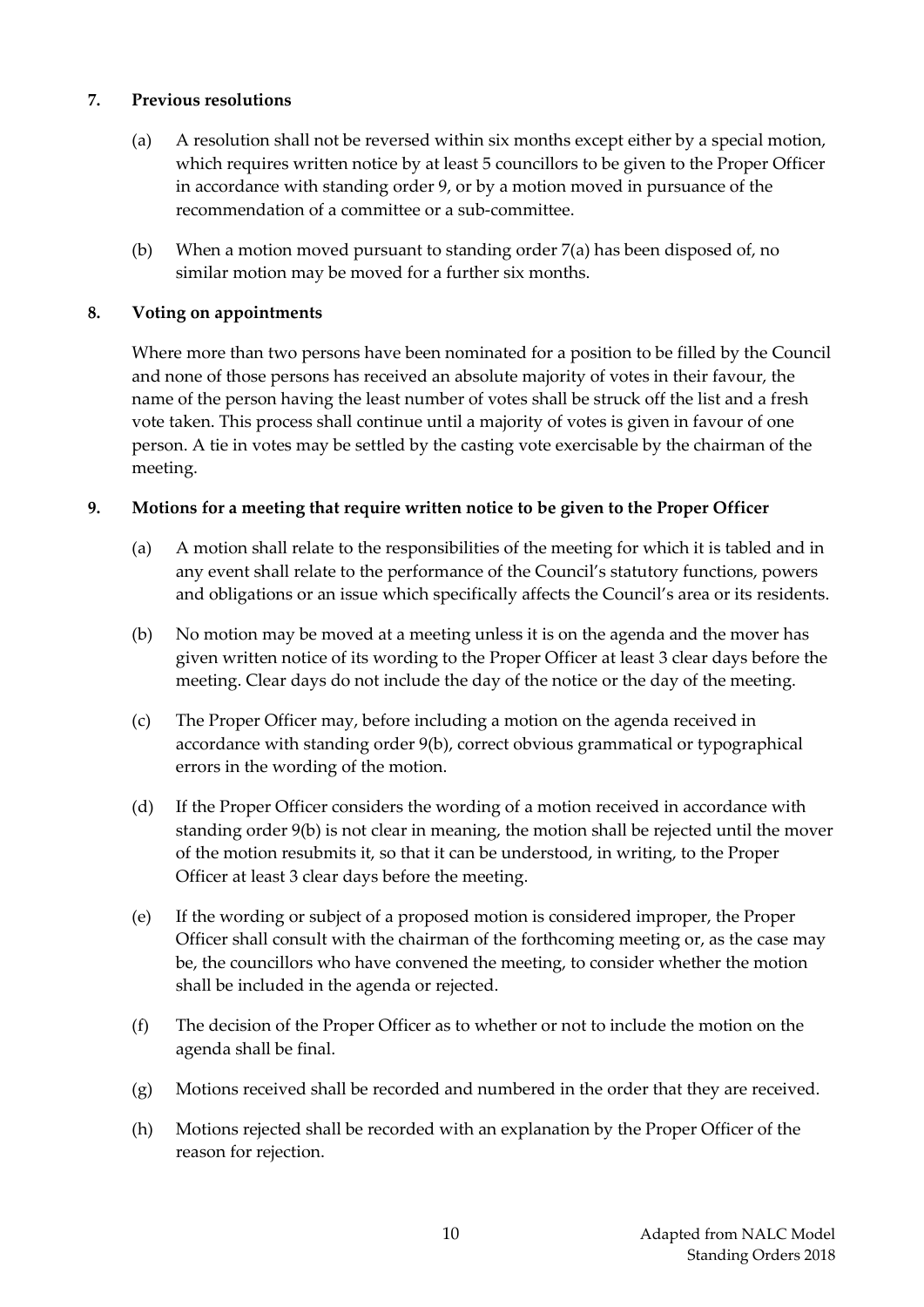#### <span id="page-10-0"></span>**7. Previous resolutions**

- (a) A resolution shall not be reversed within six months except either by a special motion, which requires written notice by at least 5 councillors to be given to the Proper Officer in accordance with standing order 9, or by a motion moved in pursuance of the recommendation of a committee or a sub-committee.
- (b) When a motion moved pursuant to standing order 7(a) has been disposed of, no similar motion may be moved for a further six months.

#### <span id="page-10-1"></span>**8. Voting on appointments**

Where more than two persons have been nominated for a position to be filled by the Council and none of those persons has received an absolute majority of votes in their favour, the name of the person having the least number of votes shall be struck off the list and a fresh vote taken. This process shall continue until a majority of votes is given in favour of one person. A tie in votes may be settled by the casting vote exercisable by the chairman of the meeting.

#### <span id="page-10-2"></span>**9. Motions for a meeting that require written notice to be given to the Proper Officer**

- (a) A motion shall relate to the responsibilities of the meeting for which it is tabled and in any event shall relate to the performance of the Council's statutory functions, powers and obligations or an issue which specifically affects the Council's area or its residents.
- (b) No motion may be moved at a meeting unless it is on the agenda and the mover has given written notice of its wording to the Proper Officer at least 3 clear days before the meeting. Clear days do not include the day of the notice or the day of the meeting.
- (c) The Proper Officer may, before including a motion on the agenda received in accordance with standing order 9(b), correct obvious grammatical or typographical errors in the wording of the motion.
- (d) If the Proper Officer considers the wording of a motion received in accordance with standing order 9(b) is not clear in meaning, the motion shall be rejected until the mover of the motion resubmits it, so that it can be understood, in writing, to the Proper Officer at least 3 clear days before the meeting.
- (e) If the wording or subject of a proposed motion is considered improper, the Proper Officer shall consult with the chairman of the forthcoming meeting or, as the case may be, the councillors who have convened the meeting, to consider whether the motion shall be included in the agenda or rejected.
- (f) The decision of the Proper Officer as to whether or not to include the motion on the agenda shall be final.
- (g) Motions received shall be recorded and numbered in the order that they are received.
- (h) Motions rejected shall be recorded with an explanation by the Proper Officer of the reason for rejection.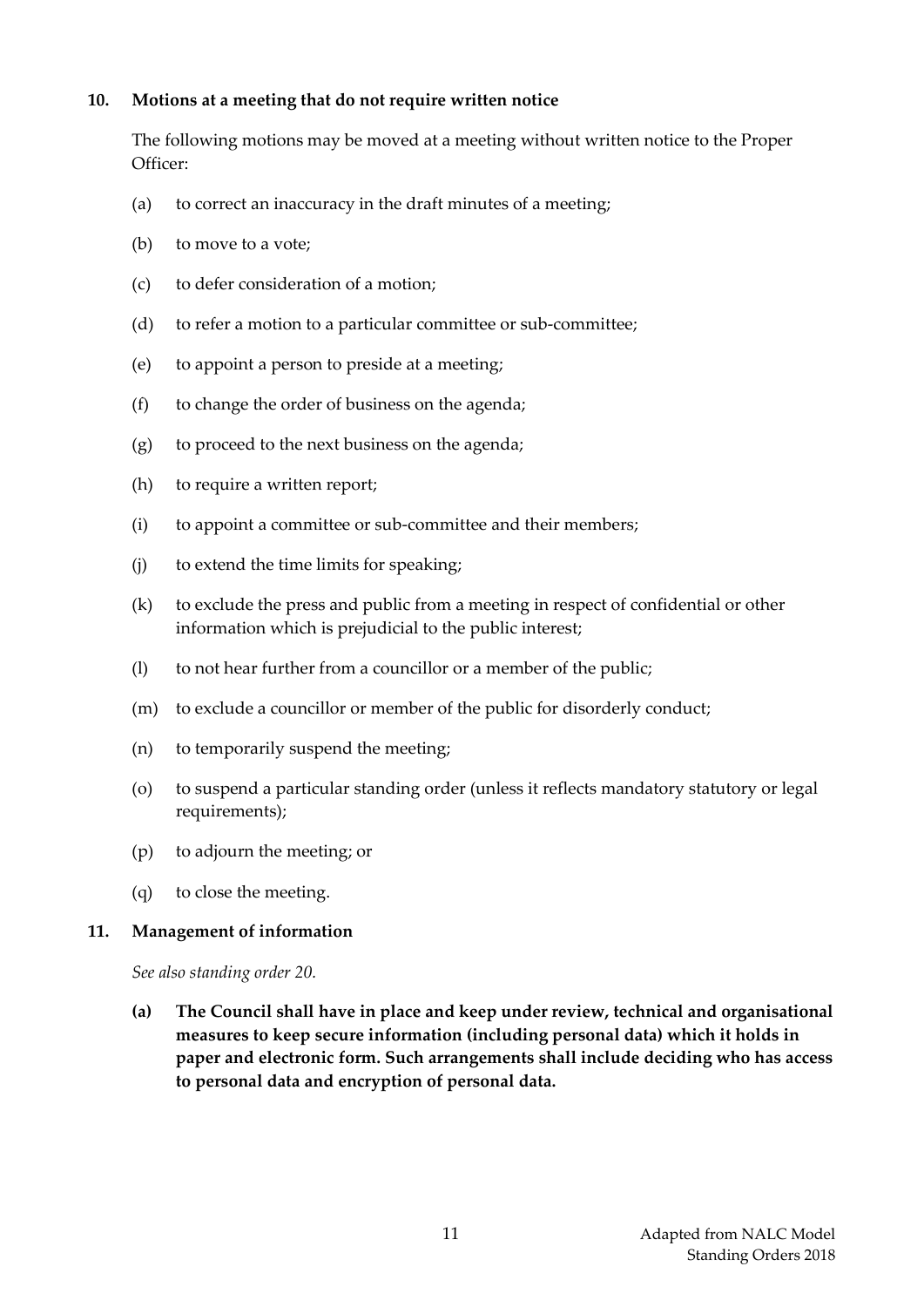#### <span id="page-11-0"></span>**10. Motions at a meeting that do not require written notice**

The following motions may be moved at a meeting without written notice to the Proper Officer:

- (a) to correct an inaccuracy in the draft minutes of a meeting;
- (b) to move to a vote;
- (c) to defer consideration of a motion;
- (d) to refer a motion to a particular committee or sub-committee;
- (e) to appoint a person to preside at a meeting;
- (f) to change the order of business on the agenda;
- (g) to proceed to the next business on the agenda;
- (h) to require a written report;
- (i) to appoint a committee or sub-committee and their members;
- (j) to extend the time limits for speaking;
- (k) to exclude the press and public from a meeting in respect of confidential or other information which is prejudicial to the public interest;
- (l) to not hear further from a councillor or a member of the public;
- (m) to exclude a councillor or member of the public for disorderly conduct;
- (n) to temporarily suspend the meeting;
- (o) to suspend a particular standing order (unless it reflects mandatory statutory or legal requirements);
- (p) to adjourn the meeting; or
- (q) to close the meeting.

#### <span id="page-11-1"></span>**11. Management of information**

*See also standing order 20.*

**(a) The Council shall have in place and keep under review, technical and organisational measures to keep secure information (including personal data) which it holds in paper and electronic form. Such arrangements shall include deciding who has access to personal data and encryption of personal data.**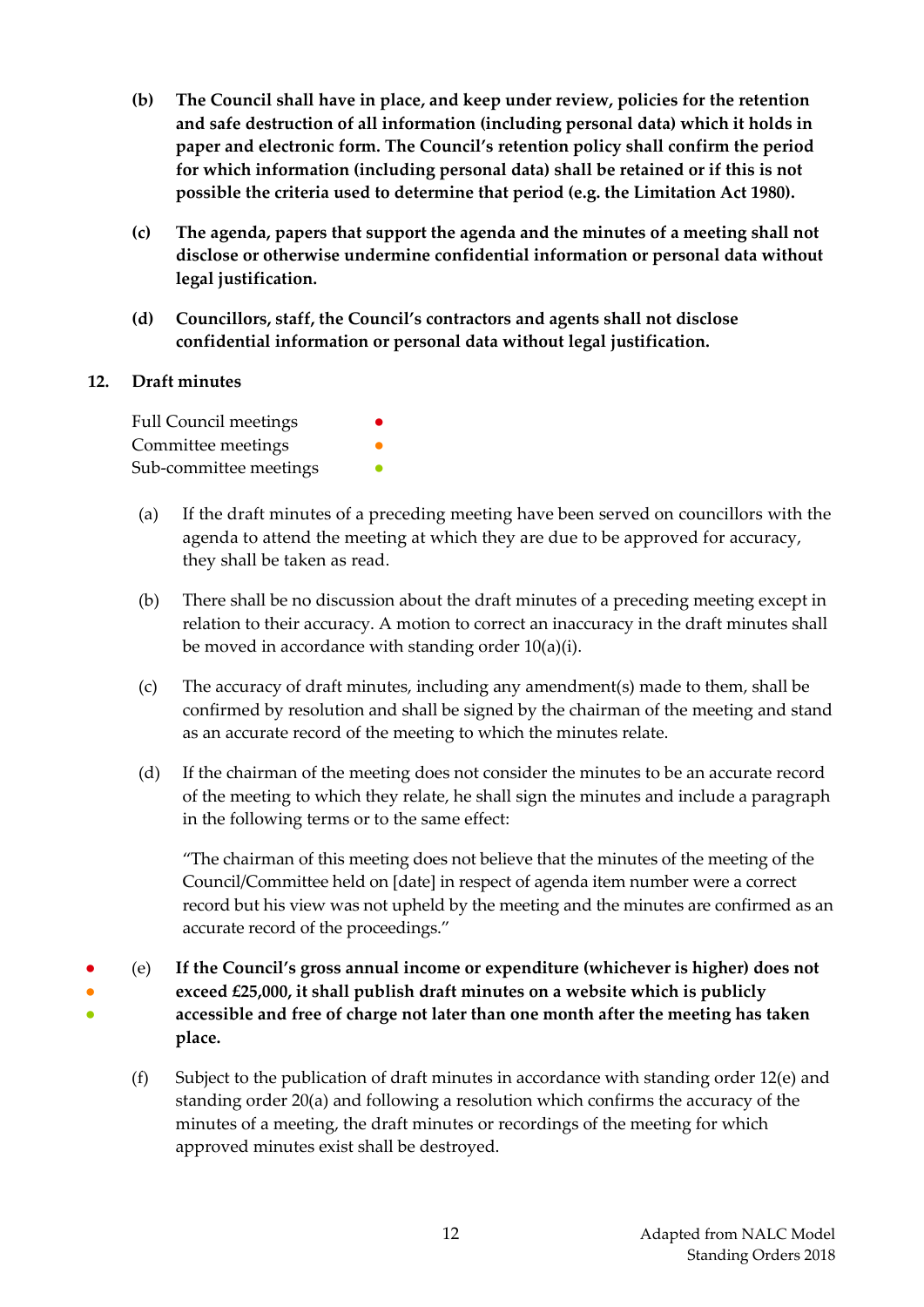- **(b) The Council shall have in place, and keep under review, policies for the retention and safe destruction of all information (including personal data) which it holds in paper and electronic form. The Council's retention policy shall confirm the period for which information (including personal data) shall be retained or if this is not possible the criteria used to determine that period (e.g. the Limitation Act 1980).**
- **(c) The agenda, papers that support the agenda and the minutes of a meeting shall not disclose or otherwise undermine confidential information or personal data without legal justification.**
- **(d) Councillors, staff, the Council's contractors and agents shall not disclose confidential information or personal data without legal justification.**

## <span id="page-12-0"></span>**12. Draft minutes**

| <b>Full Council meetings</b> | $\bullet$ |
|------------------------------|-----------|
| Committee meetings           |           |
| Sub-committee meetings       |           |

- (a) If the draft minutes of a preceding meeting have been served on councillors with the agenda to attend the meeting at which they are due to be approved for accuracy, they shall be taken as read.
- (b) There shall be no discussion about the draft minutes of a preceding meeting except in relation to their accuracy. A motion to correct an inaccuracy in the draft minutes shall be moved in accordance with standing order 10(a)(i).
- (c) The accuracy of draft minutes, including any amendment(s) made to them, shall be confirmed by resolution and shall be signed by the chairman of the meeting and stand as an accurate record of the meeting to which the minutes relate.
- (d) If the chairman of the meeting does not consider the minutes to be an accurate record of the meeting to which they relate, he shall sign the minutes and include a paragraph in the following terms or to the same effect:

"The chairman of this meeting does not believe that the minutes of the meeting of the Council/Committee held on [date] in respect of agenda item number were a correct record but his view was not upheld by the meeting and the minutes are confirmed as an accurate record of the proceedings."

- ● 。<br>● (e) **If the Council's gross annual income or expenditure (whichever is higher) does not exceed £25,000, it shall publish draft minutes on a website which is publicly accessible and free of charge not later than one month after the meeting has taken place.**
	- (f) Subject to the publication of draft minutes in accordance with standing order 12(e) and standing order 20(a) and following a resolution which confirms the accuracy of the minutes of a meeting, the draft minutes or recordings of the meeting for which approved minutes exist shall be destroyed.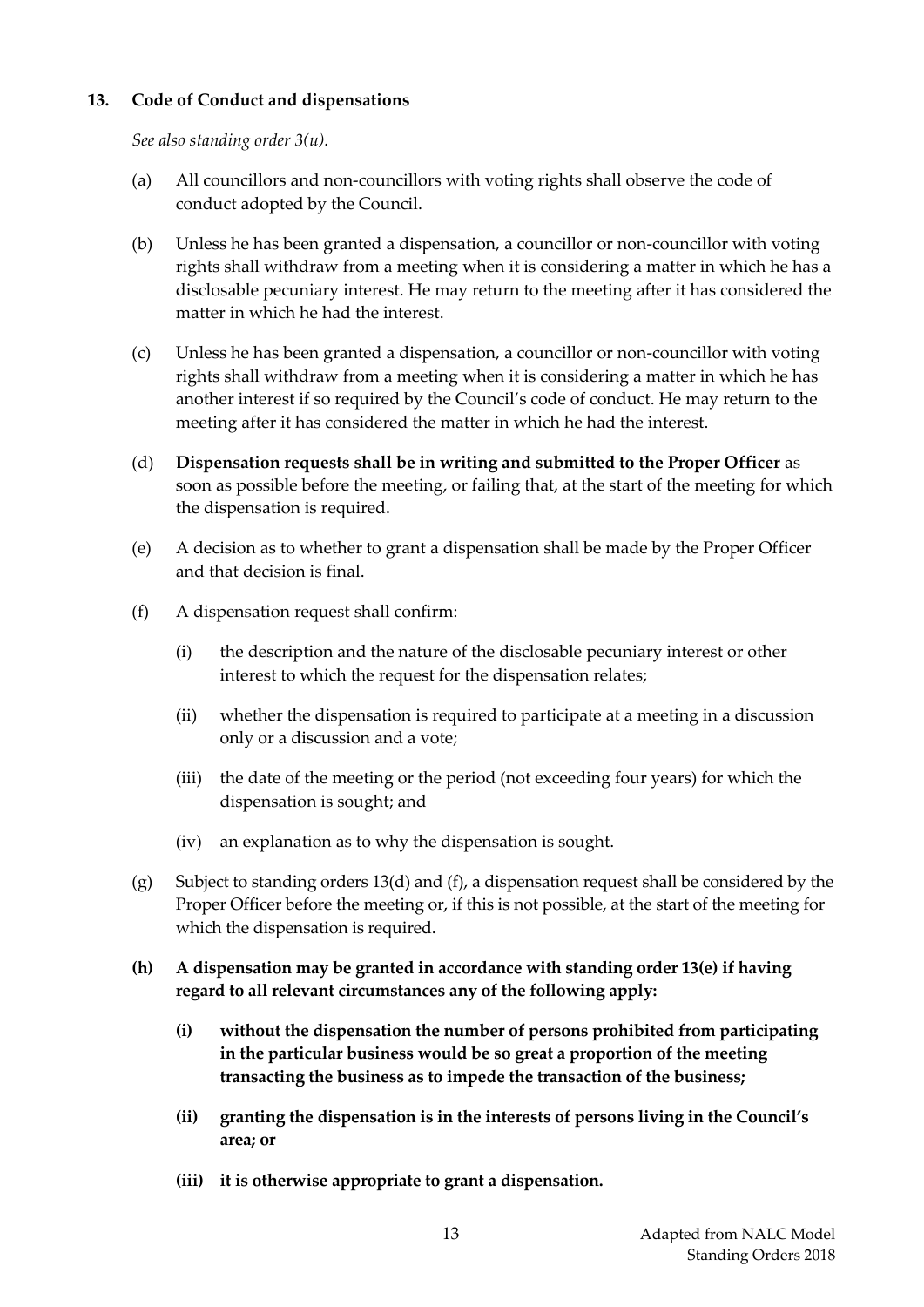## <span id="page-13-0"></span>**13. Code of Conduct and dispensations**

*See also standing order 3(u).*

- (a) All councillors and non-councillors with voting rights shall observe the code of conduct adopted by the Council.
- (b) Unless he has been granted a dispensation, a councillor or non-councillor with voting rights shall withdraw from a meeting when it is considering a matter in which he has a disclosable pecuniary interest. He may return to the meeting after it has considered the matter in which he had the interest.
- (c) Unless he has been granted a dispensation, a councillor or non-councillor with voting rights shall withdraw from a meeting when it is considering a matter in which he has another interest if so required by the Council's code of conduct. He may return to the meeting after it has considered the matter in which he had the interest.
- (d) **Dispensation requests shall be in writing and submitted to the Proper Officer** as soon as possible before the meeting, or failing that, at the start of the meeting for which the dispensation is required.
- (e) A decision as to whether to grant a dispensation shall be made by the Proper Officer and that decision is final.
- (f) A dispensation request shall confirm:
	- (i) the description and the nature of the disclosable pecuniary interest or other interest to which the request for the dispensation relates;
	- (ii) whether the dispensation is required to participate at a meeting in a discussion only or a discussion and a vote;
	- (iii) the date of the meeting or the period (not exceeding four years) for which the dispensation is sought; and
	- (iv) an explanation as to why the dispensation is sought.
- (g) Subject to standing orders 13(d) and (f), a dispensation request shall be considered by the Proper Officer before the meeting or, if this is not possible, at the start of the meeting for which the dispensation is required.
- **(h) A dispensation may be granted in accordance with standing order 13(e) if having regard to all relevant circumstances any of the following apply:**
	- **(i) without the dispensation the number of persons prohibited from participating in the particular business would be so great a proportion of the meeting transacting the business as to impede the transaction of the business;**
	- **(ii) granting the dispensation is in the interests of persons living in the Council's area; or**
	- **(iii) it is otherwise appropriate to grant a dispensation.**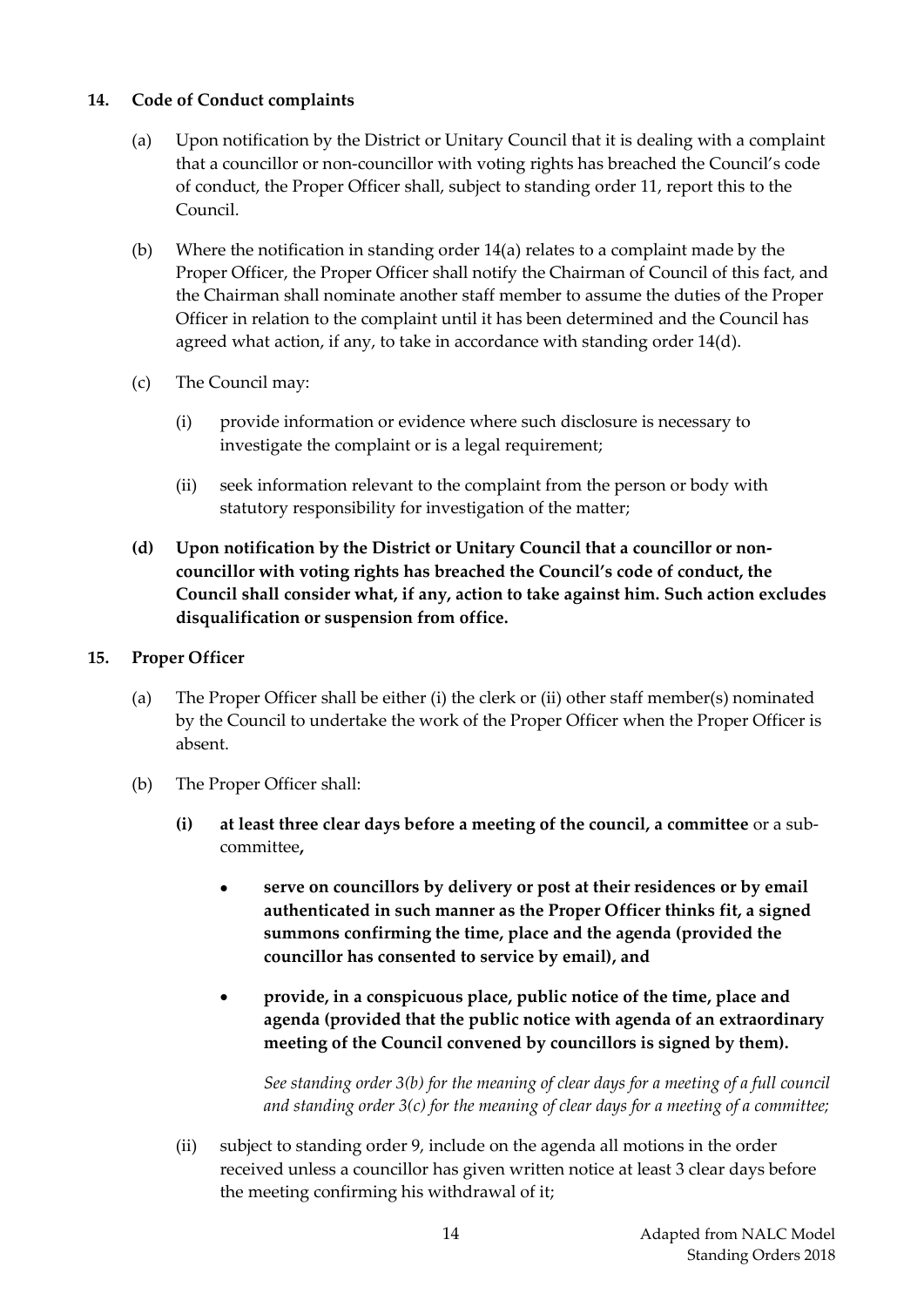## <span id="page-14-0"></span>**14. Code of Conduct complaints**

- (a) Upon notification by the District or Unitary Council that it is dealing with a complaint that a councillor or non-councillor with voting rights has breached the Council's code of conduct, the Proper Officer shall, subject to standing order 11, report this to the Council.
- (b) Where the notification in standing order 14(a) relates to a complaint made by the Proper Officer, the Proper Officer shall notify the Chairman of Council of this fact, and the Chairman shall nominate another staff member to assume the duties of the Proper Officer in relation to the complaint until it has been determined and the Council has agreed what action, if any, to take in accordance with standing order 14(d).
- (c) The Council may:
	- (i) provide information or evidence where such disclosure is necessary to investigate the complaint or is a legal requirement;
	- (ii) seek information relevant to the complaint from the person or body with statutory responsibility for investigation of the matter;
- **(d) Upon notification by the District or Unitary Council that a councillor or noncouncillor with voting rights has breached the Council's code of conduct, the Council shall consider what, if any, action to take against him. Such action excludes disqualification or suspension from office.**

#### <span id="page-14-1"></span>**15. Proper Officer**

- (a) The Proper Officer shall be either (i) the clerk or (ii) other staff member(s) nominated by the Council to undertake the work of the Proper Officer when the Proper Officer is absent.
- (b) The Proper Officer shall:
	- **(i) at least three clear days before a meeting of the council, a committee** or a subcommittee**,**
		- **serve on councillors by delivery or post at their residences or by email authenticated in such manner as the Proper Officer thinks fit, a signed summons confirming the time, place and the agenda (provided the councillor has consented to service by email), and**
		- **provide, in a conspicuous place, public notice of the time, place and agenda (provided that the public notice with agenda of an extraordinary meeting of the Council convened by councillors is signed by them).**

*See standing order 3(b) for the meaning of clear days for a meeting of a full council and standing order 3(c) for the meaning of clear days for a meeting of a committee;*

(ii) subject to standing order 9, include on the agenda all motions in the order received unless a councillor has given written notice at least 3 clear days before the meeting confirming his withdrawal of it;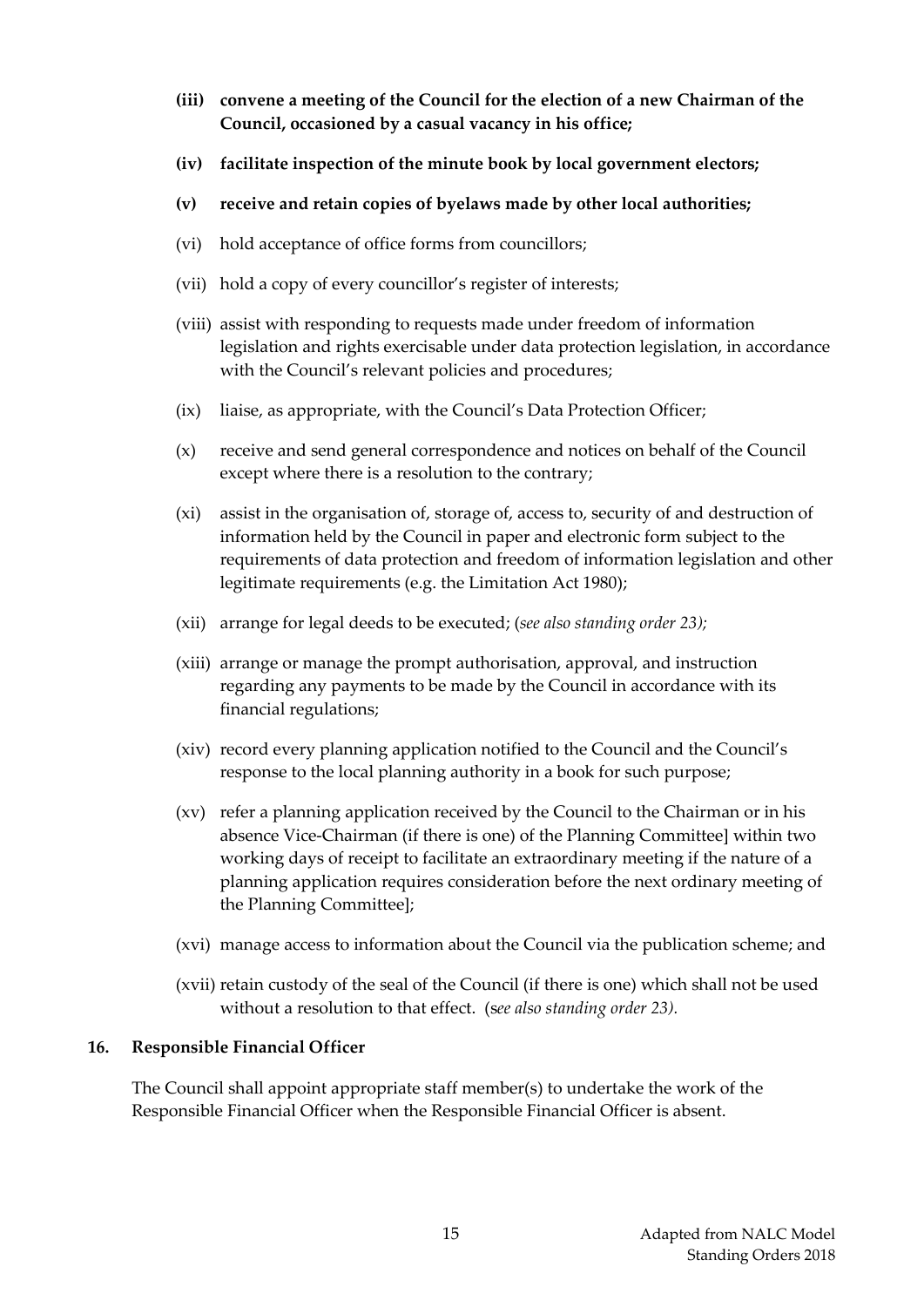- **(iii) convene a meeting of the Council for the election of a new Chairman of the Council, occasioned by a casual vacancy in his office;**
- **(iv) facilitate inspection of the minute book by local government electors;**
- **(v) receive and retain copies of byelaws made by other local authorities;**
- (vi) hold acceptance of office forms from councillors;
- (vii) hold a copy of every councillor's register of interests;
- (viii) assist with responding to requests made under freedom of information legislation and rights exercisable under data protection legislation, in accordance with the Council's relevant policies and procedures;
- (ix) liaise, as appropriate, with the Council's Data Protection Officer;
- (x) receive and send general correspondence and notices on behalf of the Council except where there is a resolution to the contrary;
- (xi) assist in the organisation of, storage of, access to, security of and destruction of information held by the Council in paper and electronic form subject to the requirements of data protection and freedom of information legislation and other legitimate requirements (e.g. the Limitation Act 1980);
- (xii) arrange for legal deeds to be executed; (*see also standing order 23);*
- (xiii) arrange or manage the prompt authorisation, approval, and instruction regarding any payments to be made by the Council in accordance with its financial regulations;
- (xiv) record every planning application notified to the Council and the Council's response to the local planning authority in a book for such purpose;
- (xv) refer a planning application received by the Council to the Chairman or in his absence Vice-Chairman (if there is one) of the Planning Committee] within two working days of receipt to facilitate an extraordinary meeting if the nature of a planning application requires consideration before the next ordinary meeting of the Planning Committee];
- (xvi) manage access to information about the Council via the publication scheme; and
- (xvii) retain custody of the seal of the Council (if there is one) which shall not be used without a resolution to that effect. (s*ee also standing order 23).*

## <span id="page-15-0"></span>**16. Responsible Financial Officer**

The Council shall appoint appropriate staff member(s) to undertake the work of the Responsible Financial Officer when the Responsible Financial Officer is absent.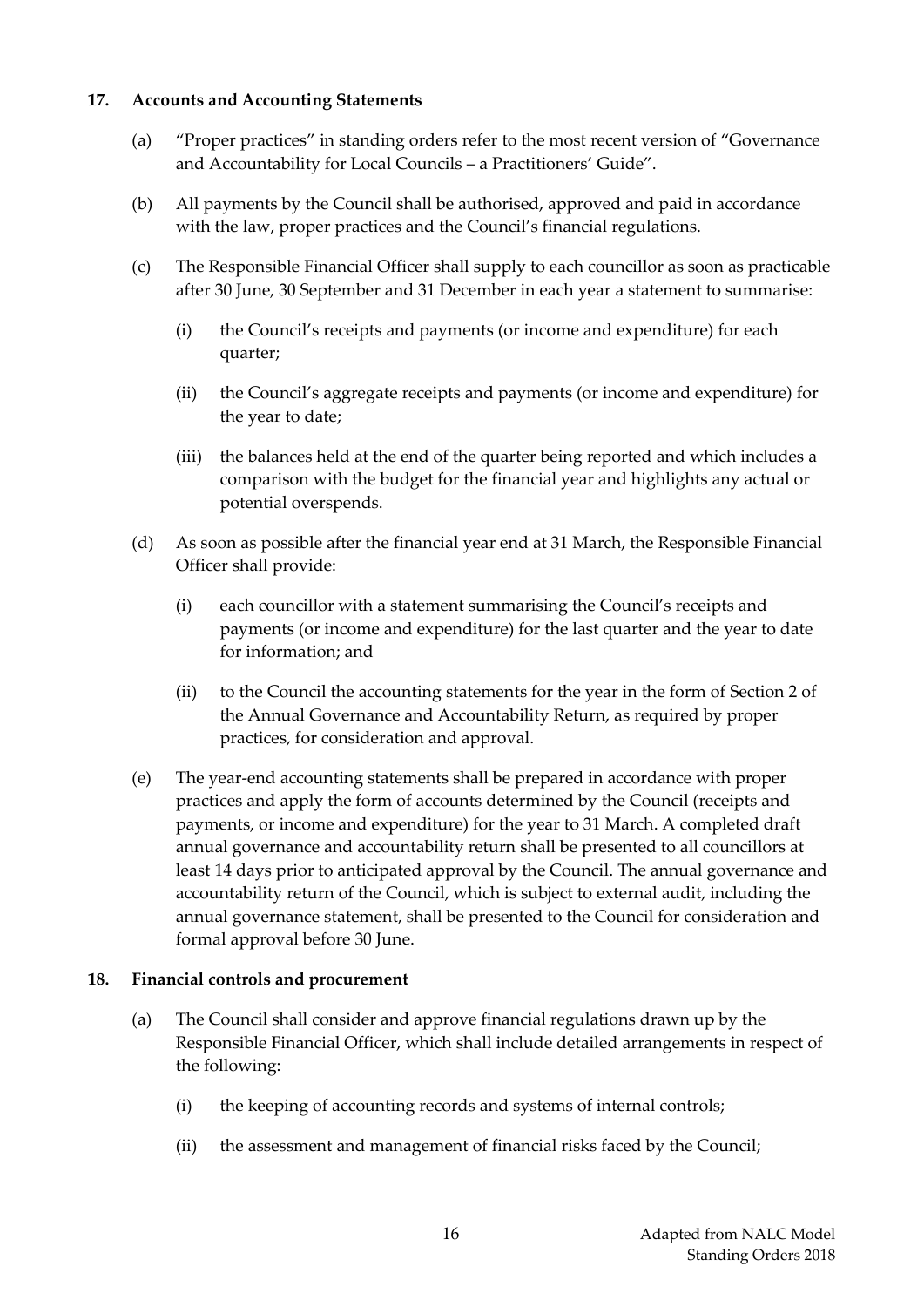#### <span id="page-16-0"></span>**17. Accounts and Accounting Statements**

- (a) "Proper practices" in standing orders refer to the most recent version of "Governance and Accountability for Local Councils – a Practitioners' Guide".
- (b) All payments by the Council shall be authorised, approved and paid in accordance with the law, proper practices and the Council's financial regulations.
- (c) The Responsible Financial Officer shall supply to each councillor as soon as practicable after 30 June, 30 September and 31 December in each year a statement to summarise:
	- (i) the Council's receipts and payments (or income and expenditure) for each quarter;
	- (ii) the Council's aggregate receipts and payments (or income and expenditure) for the year to date;
	- (iii) the balances held at the end of the quarter being reported and which includes a comparison with the budget for the financial year and highlights any actual or potential overspends.
- (d) As soon as possible after the financial year end at 31 March, the Responsible Financial Officer shall provide:
	- (i) each councillor with a statement summarising the Council's receipts and payments (or income and expenditure) for the last quarter and the year to date for information; and
	- (ii) to the Council the accounting statements for the year in the form of Section 2 of the Annual Governance and Accountability Return, as required by proper practices, for consideration and approval.
- (e) The year-end accounting statements shall be prepared in accordance with proper practices and apply the form of accounts determined by the Council (receipts and payments, or income and expenditure) for the year to 31 March. A completed draft annual governance and accountability return shall be presented to all councillors at least 14 days prior to anticipated approval by the Council. The annual governance and accountability return of the Council, which is subject to external audit, including the annual governance statement, shall be presented to the Council for consideration and formal approval before 30 June.

## <span id="page-16-1"></span>**18. Financial controls and procurement**

- (a) The Council shall consider and approve financial regulations drawn up by the Responsible Financial Officer, which shall include detailed arrangements in respect of the following:
	- (i) the keeping of accounting records and systems of internal controls;
	- (ii) the assessment and management of financial risks faced by the Council;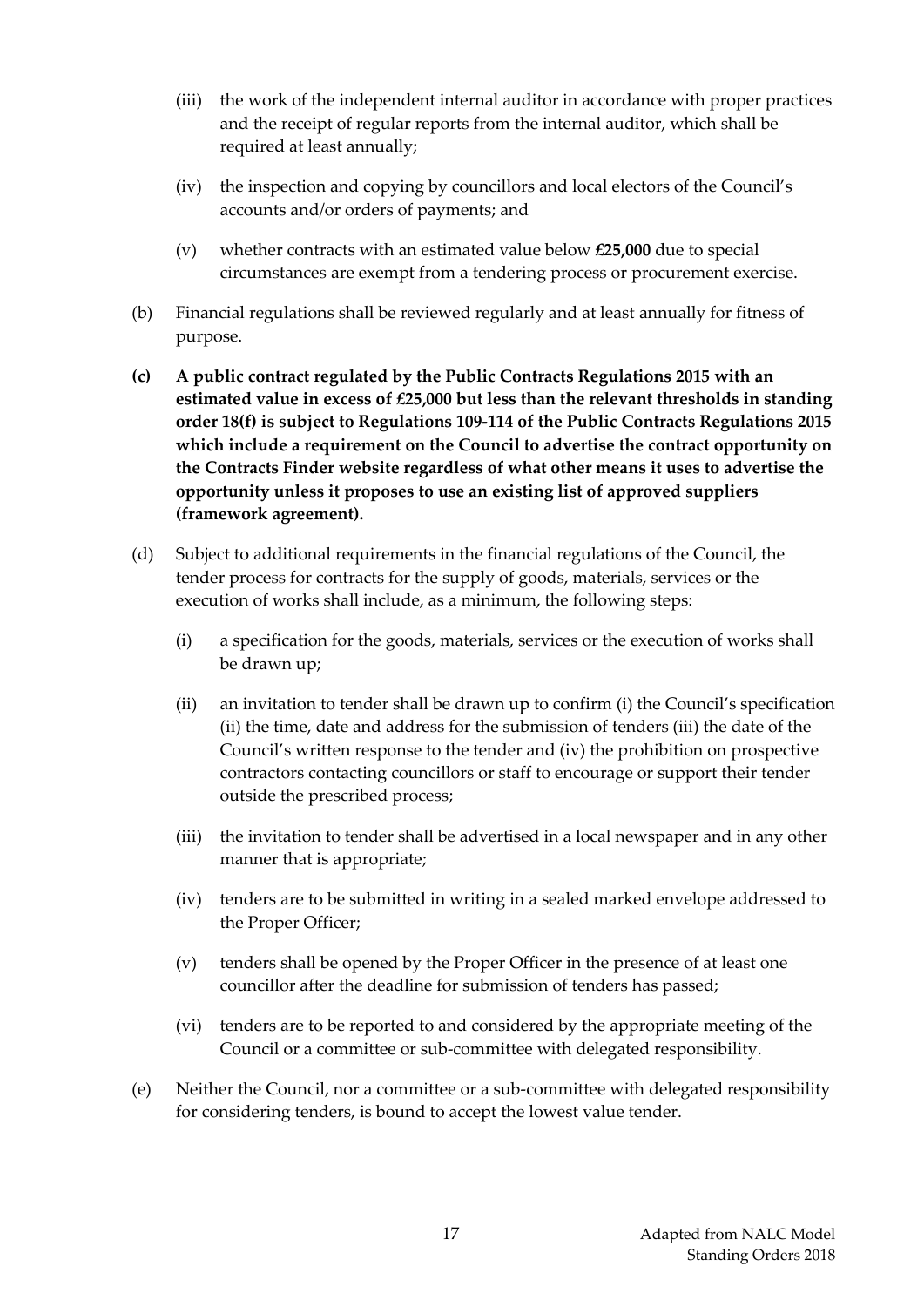- (iii) the work of the independent internal auditor in accordance with proper practices and the receipt of regular reports from the internal auditor, which shall be required at least annually;
- (iv) the inspection and copying by councillors and local electors of the Council's accounts and/or orders of payments; and
- (v) whether contracts with an estimated value below **£25,000** due to special circumstances are exempt from a tendering process or procurement exercise.
- (b) Financial regulations shall be reviewed regularly and at least annually for fitness of purpose.
- **(c) A public contract regulated by the Public Contracts Regulations 2015 with an estimated value in excess of £25,000 but less than the relevant thresholds in standing order 18(f) is subject to Regulations 109-114 of the Public Contracts Regulations 2015 which include a requirement on the Council to advertise the contract opportunity on the Contracts Finder website regardless of what other means it uses to advertise the opportunity unless it proposes to use an existing list of approved suppliers (framework agreement).**
- (d) Subject to additional requirements in the financial regulations of the Council, the tender process for contracts for the supply of goods, materials, services or the execution of works shall include, as a minimum, the following steps:
	- (i) a specification for the goods, materials, services or the execution of works shall be drawn up;
	- (ii) an invitation to tender shall be drawn up to confirm (i) the Council's specification (ii) the time, date and address for the submission of tenders (iii) the date of the Council's written response to the tender and (iv) the prohibition on prospective contractors contacting councillors or staff to encourage or support their tender outside the prescribed process;
	- (iii) the invitation to tender shall be advertised in a local newspaper and in any other manner that is appropriate;
	- (iv) tenders are to be submitted in writing in a sealed marked envelope addressed to the Proper Officer;
	- (v) tenders shall be opened by the Proper Officer in the presence of at least one councillor after the deadline for submission of tenders has passed;
	- (vi) tenders are to be reported to and considered by the appropriate meeting of the Council or a committee or sub-committee with delegated responsibility.
- (e) Neither the Council, nor a committee or a sub-committee with delegated responsibility for considering tenders, is bound to accept the lowest value tender.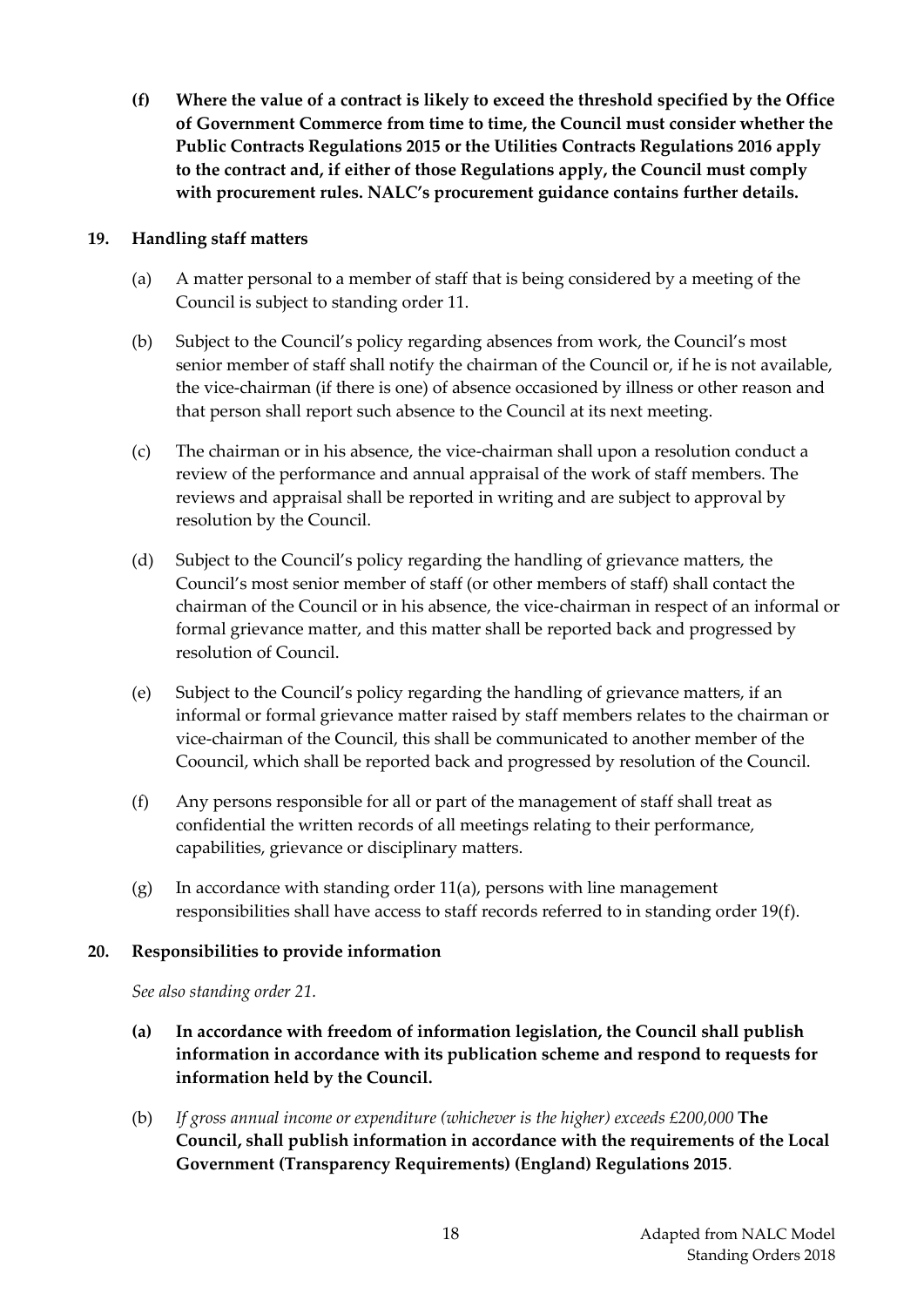**(f) Where the value of a contract is likely to exceed the threshold specified by the Office of Government Commerce from time to time, the Council must consider whether the Public Contracts Regulations 2015 or the Utilities Contracts Regulations 2016 apply to the contract and, if either of those Regulations apply, the Council must comply with procurement rules. NALC's procurement guidance contains further details.**

## <span id="page-18-0"></span>**19. Handling staff matters**

- (a) A matter personal to a member of staff that is being considered by a meeting of the Council is subject to standing order 11.
- (b) Subject to the Council's policy regarding absences from work, the Council's most senior member of staff shall notify the chairman of the Council or, if he is not available, the vice-chairman (if there is one) of absence occasioned by illness or other reason and that person shall report such absence to the Council at its next meeting.
- (c) The chairman or in his absence, the vice-chairman shall upon a resolution conduct a review of the performance and annual appraisal of the work of staff members. The reviews and appraisal shall be reported in writing and are subject to approval by resolution by the Council.
- (d) Subject to the Council's policy regarding the handling of grievance matters, the Council's most senior member of staff (or other members of staff) shall contact the chairman of the Council or in his absence, the vice-chairman in respect of an informal or formal grievance matter, and this matter shall be reported back and progressed by resolution of Council.
- (e) Subject to the Council's policy regarding the handling of grievance matters, if an informal or formal grievance matter raised by staff members relates to the chairman or vice-chairman of the Council, this shall be communicated to another member of the Coouncil, which shall be reported back and progressed by resolution of the Council.
- (f) Any persons responsible for all or part of the management of staff shall treat as confidential the written records of all meetings relating to their performance, capabilities, grievance or disciplinary matters.
- (g) In accordance with standing order 11(a), persons with line management responsibilities shall have access to staff records referred to in standing order 19(f).

## <span id="page-18-1"></span>**20. Responsibilities to provide information**

*See also standing order 21.*

- **(a) In accordance with freedom of information legislation, the Council shall publish information in accordance with its publication scheme and respond to requests for information held by the Council.**
- (b) *If gross annual income or expenditure (whichever is the higher) exceeds £200,000* **The Council, shall publish information in accordance with the requirements of the Local Government (Transparency Requirements) (England) Regulations 2015**.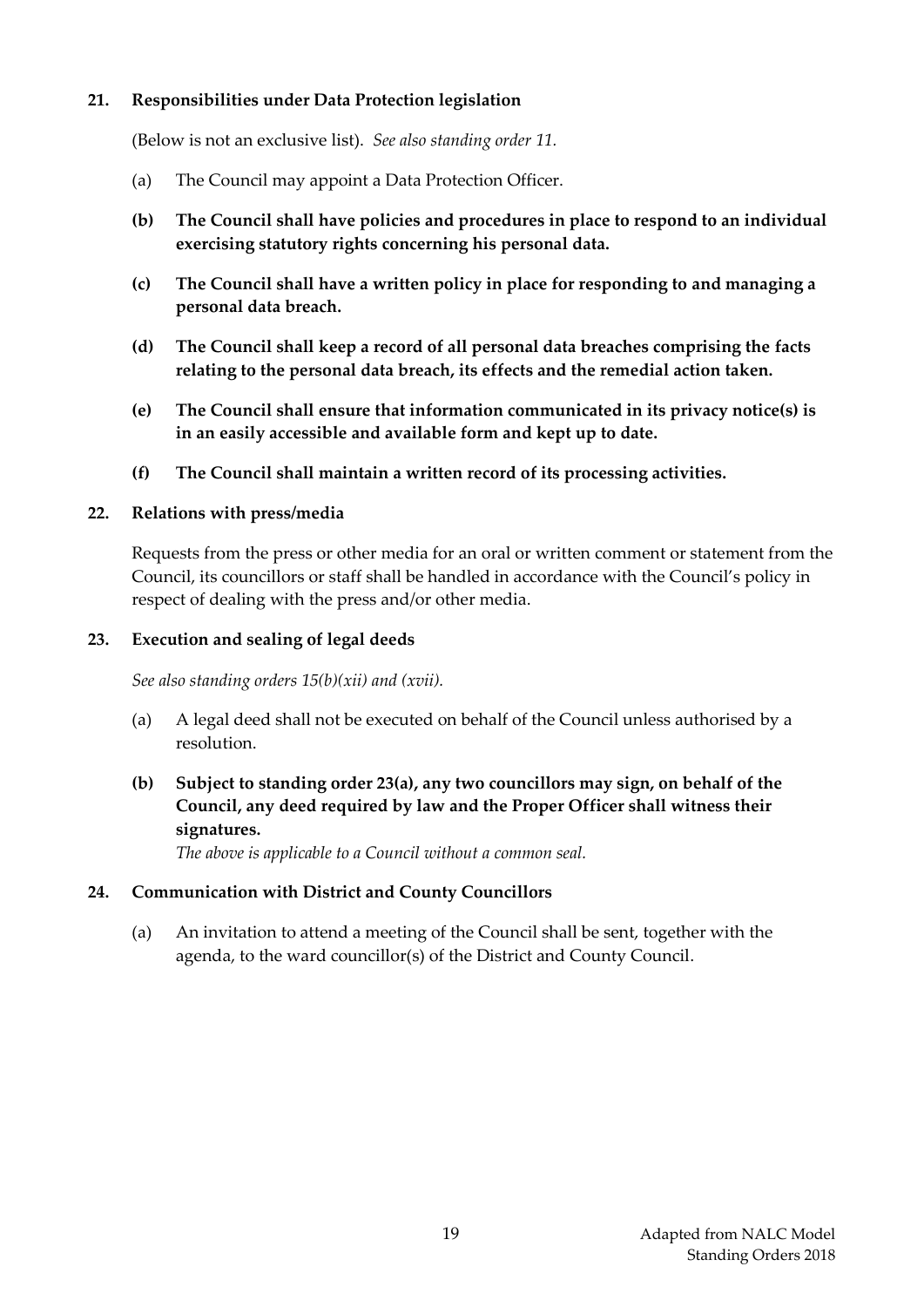#### <span id="page-19-0"></span>**21. Responsibilities under Data Protection legislation**

(Below is not an exclusive list). *See also standing order 11.*

- (a) The Council may appoint a Data Protection Officer.
- **(b) The Council shall have policies and procedures in place to respond to an individual exercising statutory rights concerning his personal data.**
- **(c) The Council shall have a written policy in place for responding to and managing a personal data breach.**
- **(d) The Council shall keep a record of all personal data breaches comprising the facts relating to the personal data breach, its effects and the remedial action taken.**
- **(e) The Council shall ensure that information communicated in its privacy notice(s) is in an easily accessible and available form and kept up to date.**
- **(f) The Council shall maintain a written record of its processing activities.**

#### <span id="page-19-1"></span>**22. Relations with press/media**

Requests from the press or other media for an oral or written comment or statement from the Council, its councillors or staff shall be handled in accordance with the Council's policy in respect of dealing with the press and/or other media.

#### <span id="page-19-2"></span>**23. Execution and sealing of legal deeds**

*See also standing orders 15(b)(xii) and (xvii).*

(a) A legal deed shall not be executed on behalf of the Council unless authorised by a resolution.

## **(b) Subject to standing order 23(a), any two councillors may sign, on behalf of the Council, any deed required by law and the Proper Officer shall witness their signatures.**

*The above is applicable to a Council without a common seal.*

#### <span id="page-19-3"></span>**24. Communication with District and County Councillors**

(a) An invitation to attend a meeting of the Council shall be sent, together with the agenda, to the ward councillor(s) of the District and County Council.